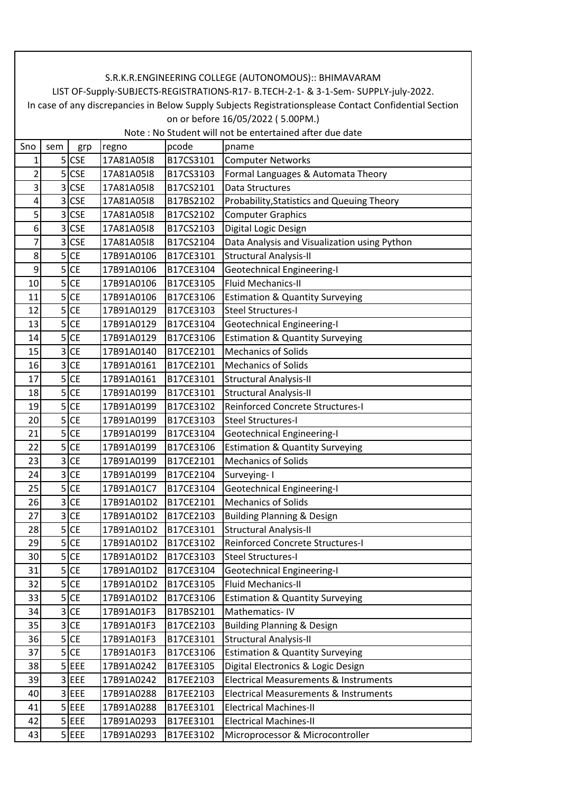| Sno            | sem            | grp        | regno      | pcode     | pname                                            |
|----------------|----------------|------------|------------|-----------|--------------------------------------------------|
| 1              |                | $5$ CSE    | 17A81A05I8 | B17CS3101 | <b>Computer Networks</b>                         |
| 2              | 5              | <b>CSE</b> | 17A81A05I8 | B17CS3103 | Formal Languages & Automata Theory               |
| 3              | $\overline{3}$ | <b>CSE</b> | 17A81A05I8 | B17CS2101 | <b>Data Structures</b>                           |
| 4              | 3              | <b>CSE</b> | 17A81A05I8 | B17BS2102 | Probability, Statistics and Queuing Theory       |
| 5              | 3              | <b>CSE</b> | 17A81A05I8 | B17CS2102 | <b>Computer Graphics</b>                         |
| 6              | 3              | <b>CSE</b> | 17A81A05I8 | B17CS2103 | Digital Logic Design                             |
| $\overline{7}$ | $\overline{3}$ | <b>CSE</b> | 17A81A05I8 | B17CS2104 | Data Analysis and Visualization using Python     |
| 8              | 5 <sup>1</sup> | <b>CE</b>  | 17B91A0106 | B17CE3101 | <b>Structural Analysis-II</b>                    |
| 9              | 5              | <b>CE</b>  | 17B91A0106 | B17CE3104 | <b>Geotechnical Engineering-I</b>                |
| 10             | 5              | <b>CE</b>  | 17B91A0106 | B17CE3105 | <b>Fluid Mechanics-II</b>                        |
| 11             | 5              | <b>CE</b>  | 17B91A0106 | B17CE3106 | <b>Estimation &amp; Quantity Surveying</b>       |
| 12             | 5              | <b>CE</b>  | 17B91A0129 | B17CE3103 | <b>Steel Structures-I</b>                        |
| 13             | 5              | <b>CE</b>  | 17B91A0129 | B17CE3104 | <b>Geotechnical Engineering-I</b>                |
| 14             | 5              | <b>CE</b>  | 17B91A0129 | B17CE3106 | <b>Estimation &amp; Quantity Surveying</b>       |
| 15             | 3              | <b>CE</b>  | 17B91A0140 | B17CE2101 | <b>Mechanics of Solids</b>                       |
| 16             | 3              | <b>CE</b>  | 17B91A0161 | B17CE2101 | <b>Mechanics of Solids</b>                       |
| 17             | 5              | <b>CE</b>  | 17B91A0161 | B17CE3101 | <b>Structural Analysis-II</b>                    |
| 18             | 5              | <b>CE</b>  | 17B91A0199 | B17CE3101 | <b>Structural Analysis-II</b>                    |
| 19             | 5              | <b>CE</b>  | 17B91A0199 | B17CE3102 | <b>Reinforced Concrete Structures-I</b>          |
| 20             |                | $5$ CE     | 17B91A0199 | B17CE3103 | <b>Steel Structures-I</b>                        |
| 21             | 5              | <b>CE</b>  | 17B91A0199 | B17CE3104 | <b>Geotechnical Engineering-I</b>                |
| 22             | 5              | <b>CE</b>  | 17B91A0199 | B17CE3106 | <b>Estimation &amp; Quantity Surveying</b>       |
| 23             | 3              | <b>CE</b>  | 17B91A0199 | B17CE2101 | <b>Mechanics of Solids</b>                       |
| 24             | 3              | <b>CE</b>  | 17B91A0199 | B17CE2104 | Surveying-1                                      |
| 25             | 5 <sup>1</sup> | <b>CE</b>  | 17B91A01C7 | B17CE3104 | <b>Geotechnical Engineering-I</b>                |
| 26             | 3              | <b>CE</b>  | 17B91A01D2 | B17CE2101 | <b>Mechanics of Solids</b>                       |
| 27             | $\overline{3}$ | <b>CE</b>  | 17B91A01D2 | B17CE2103 | <b>Building Planning &amp; Design</b>            |
| 28             | 5              | <b>CE</b>  | 17B91A01D2 | B17CE3101 | <b>Structural Analysis-II</b>                    |
| 29             | $\overline{5}$ | <b>CE</b>  | 17B91A01D2 | B17CE3102 | Reinforced Concrete Structures-I                 |
| 30             | 5              | <b>CE</b>  | 17B91A01D2 | B17CE3103 | <b>Steel Structures-I</b>                        |
| 31             |                | $5$ CE     | 17B91A01D2 | B17CE3104 | <b>Geotechnical Engineering-I</b>                |
| 32             | $\overline{5}$ | <b>CE</b>  | 17B91A01D2 | B17CE3105 | <b>Fluid Mechanics-II</b>                        |
| 33             | 5              | <b>CE</b>  | 17B91A01D2 | B17CE3106 | <b>Estimation &amp; Quantity Surveying</b>       |
| 34             | $\overline{3}$ | <b>CE</b>  | 17B91A01F3 | B17BS2101 | Mathematics-IV                                   |
| 35             | 3              | <b>CE</b>  | 17B91A01F3 | B17CE2103 | <b>Building Planning &amp; Design</b>            |
| 36             |                | $5$ CE     | 17B91A01F3 | B17CE3101 | <b>Structural Analysis-II</b>                    |
| 37             |                | $5$ CE     | 17B91A01F3 | B17CE3106 | <b>Estimation &amp; Quantity Surveying</b>       |
| 38             |                | $5$ EEE    | 17B91A0242 | B17EE3105 | Digital Electronics & Logic Design               |
| 39             |                | 3 EEE      | 17B91A0242 | B17EE2103 | <b>Electrical Measurements &amp; Instruments</b> |
| 40             |                | 3 EEE      | 17B91A0288 | B17EE2103 | Electrical Measurements & Instruments            |
| 41             |                | $5$ EEE    | 17B91A0288 | B17EE3101 | <b>Electrical Machines-II</b>                    |
| 42             | 5              | EEE        | 17B91A0293 | B17EE3101 | <b>Electrical Machines-II</b>                    |
| 43             |                | $5$ EEE    | 17B91A0293 | B17EE3102 | Microprocessor & Microcontroller                 |
|                |                |            |            |           |                                                  |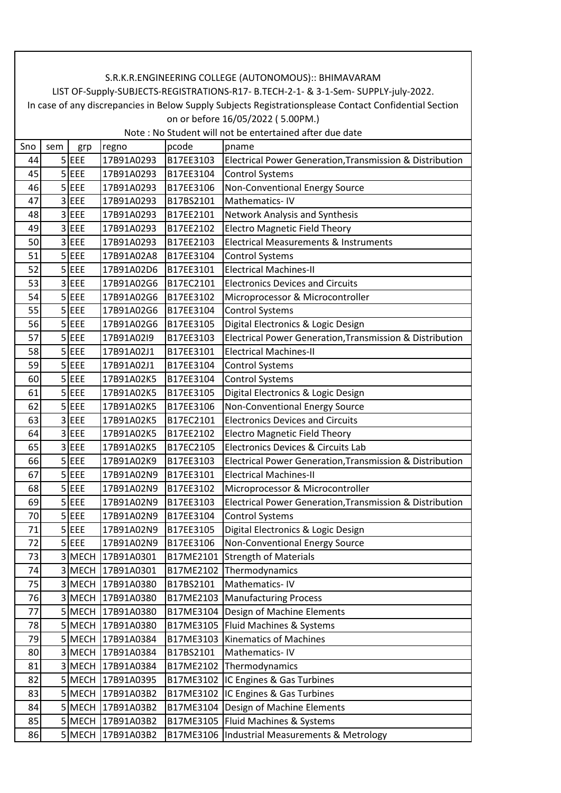| Sno | sem | grp         | regno             | pcode     | pname                                                    |
|-----|-----|-------------|-------------------|-----------|----------------------------------------------------------|
| 44  |     | $5$ EEE     | 17B91A0293        | B17EE3103 | Electrical Power Generation, Transmission & Distribution |
| 45  |     | $5$ EEE     | 17B91A0293        | B17EE3104 | <b>Control Systems</b>                                   |
| 46  |     | $5$ EEE     | 17B91A0293        | B17EE3106 | Non-Conventional Energy Source                           |
| 47  |     | 3 EEE       | 17B91A0293        | B17BS2101 | Mathematics-IV                                           |
| 48  |     | $3$ EEE     | 17B91A0293        | B17EE2101 | Network Analysis and Synthesis                           |
| 49  | 3   | EEE         | 17B91A0293        | B17EE2102 | <b>Electro Magnetic Field Theory</b>                     |
| 50  |     | 3 EEE       | 17B91A0293        | B17EE2103 | <b>Electrical Measurements &amp; Instruments</b>         |
| 51  |     | $5$ EEE     | 17B91A02A8        | B17EE3104 | <b>Control Systems</b>                                   |
| 52  |     | $5$ EEE     | 17B91A02D6        | B17EE3101 | <b>Electrical Machines-II</b>                            |
| 53  |     | 3 EEE       | 17B91A02G6        | B17EC2101 | <b>Electronics Devices and Circuits</b>                  |
| 54  |     | $5$ EEE     | 17B91A02G6        | B17EE3102 | Microprocessor & Microcontroller                         |
| 55  |     | $5$ EEE     | 17B91A02G6        | B17EE3104 | <b>Control Systems</b>                                   |
| 56  | 5   | EEE         | 17B91A02G6        | B17EE3105 | Digital Electronics & Logic Design                       |
| 57  |     | $5$ EEE     | 17B91A02I9        | B17EE3103 | Electrical Power Generation, Transmission & Distribution |
| 58  |     | $5$ EEE     | 17B91A02J1        | B17EE3101 | <b>Electrical Machines-II</b>                            |
| 59  | 5   | EEE         | 17B91A02J1        | B17EE3104 | <b>Control Systems</b>                                   |
| 60  |     | $5$ EEE     | 17B91A02K5        | B17EE3104 | <b>Control Systems</b>                                   |
| 61  | 5   | EEE         | 17B91A02K5        | B17EE3105 | Digital Electronics & Logic Design                       |
| 62  |     | $5$ EEE     | 17B91A02K5        | B17EE3106 | Non-Conventional Energy Source                           |
| 63  |     | 3 EEE       | 17B91A02K5        | B17EC2101 | <b>Electronics Devices and Circuits</b>                  |
| 64  |     | 3 EEE       | 17B91A02K5        | B17EE2102 | <b>Electro Magnetic Field Theory</b>                     |
| 65  |     | 3 EEE       | 17B91A02K5        | B17EC2105 | Electronics Devices & Circuits Lab                       |
| 66  |     | $5$ EEE     | 17B91A02K9        | B17EE3103 | Electrical Power Generation, Transmission & Distribution |
| 67  |     | $5$ EEE     | 17B91A02N9        | B17EE3101 | <b>Electrical Machines-II</b>                            |
| 68  | 5   | EEE         | 17B91A02N9        | B17EE3102 | Microprocessor & Microcontroller                         |
| 69  |     | $5$ EEE     | 17B91A02N9        | B17EE3103 | Electrical Power Generation, Transmission & Distribution |
| 70  |     | $5$ EEE     | 17B91A02N9        | B17EE3104 | <b>Control Systems</b>                                   |
| 71  |     | $5$ EEE     | 17B91A02N9        | B17EE3105 | Digital Electronics & Logic Design                       |
| 72  |     | $5$ EEE     | 17B91A02N9        | B17EE3106 | Non-Conventional Energy Source                           |
| 73  | 3   |             | MECH 17B91A0301   | B17ME2101 | <b>Strength of Materials</b>                             |
| 74  |     |             | 3 MECH 17B91A0301 |           | B17ME2102 Thermodynamics                                 |
| 75  | 3   | MECH        | 17B91A0380        | B17BS2101 | Mathematics-IV                                           |
| 76  |     |             | 3 MECH 17B91A0380 |           | B17ME2103 Manufacturing Process                          |
| 77  |     |             | 5 MECH 17B91A0380 |           | B17ME3104 Design of Machine Elements                     |
| 78  |     |             | 5 MECH 17B91A0380 | B17ME3105 | Fluid Machines & Systems                                 |
| 79  |     |             | 5 MECH 17B91A0384 |           | B17ME3103 Kinematics of Machines                         |
| 80  | 3   | MECH        | 17B91A0384        | B17BS2101 | Mathematics-IV                                           |
| 81  |     |             | 3 MECH 17B91A0384 |           | B17ME2102 Thermodynamics                                 |
| 82  |     | 5 MECH      | 17B91A0395        |           | B17ME3102 IC Engines & Gas Turbines                      |
| 83  |     |             | 5 MECH 17B91A03B2 |           | B17ME3102 IC Engines & Gas Turbines                      |
| 84  |     |             | 5 MECH 17B91A03B2 |           | B17ME3104   Design of Machine Elements                   |
| 85  | 5   | <b>MECH</b> | 17B91A03B2        |           | B17ME3105   Fluid Machines & Systems                     |
| 86  |     | 5 MECH      | 17B91A03B2        |           | B17ME3106  Industrial Measurements & Metrology           |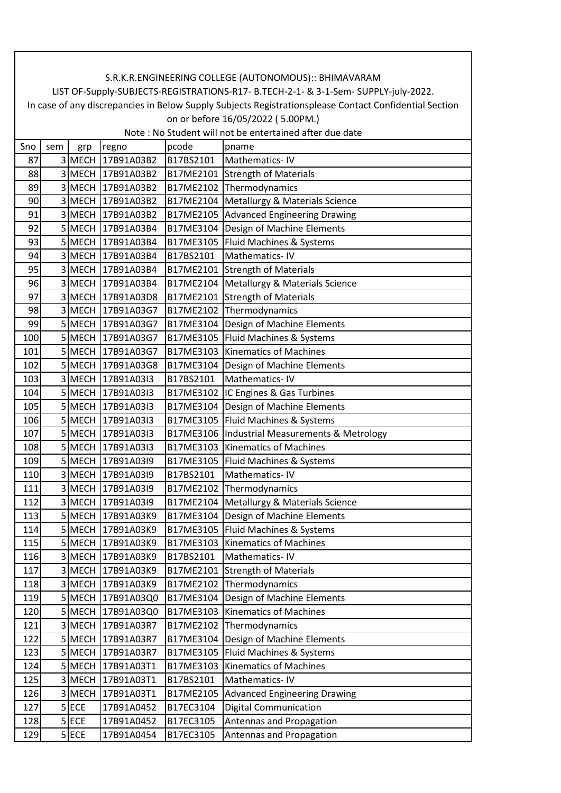| Sno | sem | grp         | regno             | pcode     | pname                                          |
|-----|-----|-------------|-------------------|-----------|------------------------------------------------|
| 87  | 3   | <b>MECH</b> | 17B91A03B2        | B17BS2101 | Mathematics-IV                                 |
| 88  | 3   |             | MECH 17B91A03B2   |           | B17ME2101 Strength of Materials                |
| 89  |     |             | 3 MECH 17B91A03B2 |           | B17ME2102 Thermodynamics                       |
| 90  |     |             | 3 MECH 17B91A03B2 |           | B17ME2104   Metallurgy & Materials Science     |
| 91  |     |             | 3MECH 17B91A03B2  |           | B17ME2105 Advanced Engineering Drawing         |
| 92  |     |             | MECH 17B91A03B4   | B17ME3104 | Design of Machine Elements                     |
| 93  |     |             | 5 MECH 17B91A03B4 |           | B17ME3105 Fluid Machines & Systems             |
| 94  |     |             | 3 MECH 17B91A03B4 | B17BS2101 | Mathematics-IV                                 |
| 95  |     |             | 3 MECH 17B91A03B4 |           | B17ME2101 Strength of Materials                |
| 96  |     |             | 3 MECH 17B91A03B4 |           | B17ME2104   Metallurgy & Materials Science     |
| 97  |     |             | 3 MECH 17B91A03D8 |           | B17ME2101 Strength of Materials                |
| 98  |     |             | 3 MECH 17B91A03G7 |           | B17ME2102 Thermodynamics                       |
| 99  |     |             | 5 MECH 17B91A03G7 | B17ME3104 | Design of Machine Elements                     |
| 100 |     |             | 5 MECH 17B91A03G7 |           | B17ME3105 Fluid Machines & Systems             |
| 101 |     |             | 5 MECH 17B91A03G7 | B17ME3103 | <b>Kinematics of Machines</b>                  |
| 102 |     |             | 5 MECH 17B91A03G8 | B17ME3104 | Design of Machine Elements                     |
| 103 |     |             | 3 MECH 17B91A0313 | B17BS2101 | Mathematics-IV                                 |
| 104 |     |             | 5 MECH 17B91A0313 |           | B17ME3102 IC Engines & Gas Turbines            |
| 105 |     |             | 5 MECH 17B91A03I3 |           | B17ME3104 Design of Machine Elements           |
| 106 |     |             | MECH 17B91A03I3   |           | B17ME3105 Fluid Machines & Systems             |
| 107 |     |             | 5 MECH 17B91A03I3 |           | B17ME3106  Industrial Measurements & Metrology |
| 108 |     |             | 5 MECH 17B91A03I3 |           | B17ME3103 Kinematics of Machines               |
| 109 |     |             | 5 MECH 17B91A0319 |           | B17ME3105   Fluid Machines & Systems           |
| 110 |     |             | 3 MECH 17B91A0319 | B17BS2101 | Mathematics-IV                                 |
| 111 | 3   |             | MECH 17B91A03I9   |           | B17ME2102 Thermodynamics                       |
| 112 |     |             | 3 MECH 17B91A03I9 |           | B17ME2104 Metallurgy & Materials Science       |
| 113 |     |             | 5 MECH 17B91A03K9 |           | B17ME3104   Design of Machine Elements         |
| 114 |     |             | 5 MECH 17B91A03K9 |           | B17ME3105   Fluid Machines & Systems           |
| 115 |     |             | 5 MECH 17B91A03K9 | B17ME3103 | <b>Kinematics of Machines</b>                  |
| 116 | ς   |             | MECH 17B91A03K9   | B17BS2101 | <b>Mathematics-IV</b>                          |
| 117 |     |             | 3 MECH 17B91A03K9 |           | B17ME2101 Strength of Materials                |
| 118 |     |             | 3MECH 17B91A03K9  | B17ME2102 | Thermodynamics                                 |
| 119 |     |             | 5 MECH 17B91A03Q0 | B17ME3104 | Design of Machine Elements                     |
| 120 |     |             | 5 MECH 17B91A03Q0 | B17ME3103 | <b>Kinematics of Machines</b>                  |
| 121 |     |             | 3 MECH 17B91A03R7 | B17ME2102 | Thermodynamics                                 |
| 122 |     | 5 MECH      | 17B91A03R7        | B17ME3104 | Design of Machine Elements                     |
| 123 | 5   | <b>MECH</b> | 17B91A03R7        | B17ME3105 | Fluid Machines & Systems                       |
| 124 |     | 5 MECH      | 17B91A03T1        | B17ME3103 | <b>Kinematics of Machines</b>                  |
| 125 |     | 3 MECH      | 17B91A03T1        | B17BS2101 | Mathematics-IV                                 |
| 126 |     | 3 MECH      | 17B91A03T1        | B17ME2105 | <b>Advanced Engineering Drawing</b>            |
| 127 |     | $5$ ECE     | 17B91A0452        | B17EC3104 | <b>Digital Communication</b>                   |
| 128 |     | $5$ ECE     | 17B91A0452        | B17EC3105 | Antennas and Propagation                       |
| 129 |     | $5$ ECE     | 17B91A0454        | B17EC3105 | Antennas and Propagation                       |
|     |     |             |                   |           |                                                |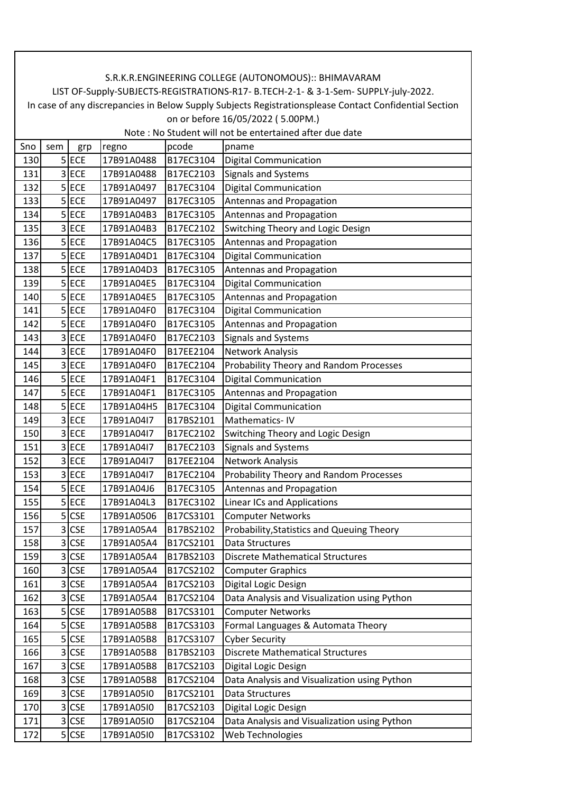| Sno | sem            | grp        | regno      | pcode     | pname                                        |
|-----|----------------|------------|------------|-----------|----------------------------------------------|
| 130 |                | $5$ ECE    | 17B91A0488 | B17EC3104 | <b>Digital Communication</b>                 |
| 131 | 3              | <b>ECE</b> | 17B91A0488 | B17EC2103 | Signals and Systems                          |
| 132 |                | $5$ ECE    | 17B91A0497 | B17EC3104 | <b>Digital Communication</b>                 |
| 133 |                | $5$ ECE    | 17B91A0497 | B17EC3105 | Antennas and Propagation                     |
| 134 |                | $5$ ECE    | 17B91A04B3 | B17EC3105 | Antennas and Propagation                     |
| 135 | 3              | <b>ECE</b> | 17B91A04B3 | B17EC2102 | Switching Theory and Logic Design            |
| 136 |                | $5$ ECE    | 17B91A04C5 | B17EC3105 | Antennas and Propagation                     |
| 137 |                | 5 ECE      | 17B91A04D1 | B17EC3104 | <b>Digital Communication</b>                 |
| 138 |                | $5$ ECE    | 17B91A04D3 | B17EC3105 | Antennas and Propagation                     |
| 139 |                | $5$ ECE    | 17B91A04E5 | B17EC3104 | <b>Digital Communication</b>                 |
| 140 |                | 5 ECE      | 17B91A04E5 | B17EC3105 | Antennas and Propagation                     |
| 141 |                | $5$ ECE    | 17B91A04F0 | B17EC3104 | <b>Digital Communication</b>                 |
| 142 | 5              | <b>ECE</b> | 17B91A04F0 | B17EC3105 | Antennas and Propagation                     |
| 143 |                | 3 ECE      | 17B91A04F0 | B17EC2103 | <b>Signals and Systems</b>                   |
| 144 |                | 3 ECE      | 17B91A04F0 | B17EE2104 | Network Analysis                             |
| 145 |                | 3 ECE      | 17B91A04F0 | B17EC2104 | Probability Theory and Random Processes      |
| 146 |                | $5$ ECE    | 17B91A04F1 | B17EC3104 | <b>Digital Communication</b>                 |
| 147 | 5              | <b>ECE</b> | 17B91A04F1 | B17EC3105 | Antennas and Propagation                     |
| 148 |                | $5$ ECE    | 17B91A04H5 | B17EC3104 | <b>Digital Communication</b>                 |
| 149 | 3              | <b>ECE</b> | 17B91A04I7 | B17BS2101 | Mathematics-IV                               |
| 150 | 3              | <b>ECE</b> | 17B91A04I7 | B17EC2102 | Switching Theory and Logic Design            |
| 151 |                | $3$ ECE    | 17B91A04I7 | B17EC2103 | <b>Signals and Systems</b>                   |
| 152 |                | 3 ECE      | 17B91A04I7 | B17EE2104 | Network Analysis                             |
| 153 |                | 3 ECE      | 17B91A04I7 | B17EC2104 | Probability Theory and Random Processes      |
| 154 | 5              | <b>ECE</b> | 17B91A04J6 | B17EC3105 | Antennas and Propagation                     |
| 155 |                | $5$ ECE    | 17B91A04L3 | B17EC3102 | <b>Linear ICs and Applications</b>           |
| 156 |                | 5 CSE      | 17B91A0506 | B17CS3101 | <b>Computer Networks</b>                     |
| 157 |                | 3 CSE      | 17B91A05A4 | B17BS2102 | Probability, Statistics and Queuing Theory   |
| 158 | 3              | <b>CSE</b> | 17B91A05A4 | B17CS2101 | Data Structures                              |
| 159 | ς              | <b>CSE</b> | 17B91A05A4 | B17BS2103 | Discrete Mathematical Structures             |
| 160 | $\overline{3}$ | <b>CSE</b> | 17B91A05A4 | B17CS2102 | <b>Computer Graphics</b>                     |
| 161 | 3              | <b>CSE</b> | 17B91A05A4 | B17CS2103 | Digital Logic Design                         |
| 162 | 3              | <b>CSE</b> | 17B91A05A4 | B17CS2104 | Data Analysis and Visualization using Python |
| 163 |                | 5 CSE      | 17B91A05B8 | B17CS3101 | <b>Computer Networks</b>                     |
| 164 |                | $5$ $CSE$  | 17B91A05B8 | B17CS3103 | Formal Languages & Automata Theory           |
| 165 |                | 5 CSE      | 17B91A05B8 | B17CS3107 | <b>Cyber Security</b>                        |
| 166 | 3              | <b>CSE</b> | 17B91A05B8 | B17BS2103 | <b>Discrete Mathematical Structures</b>      |
| 167 |                | 3 CSE      | 17B91A05B8 | B17CS2103 | Digital Logic Design                         |
| 168 | 3              | <b>CSE</b> | 17B91A05B8 | B17CS2104 | Data Analysis and Visualization using Python |
| 169 | 3              | <b>CSE</b> | 17B91A05I0 | B17CS2101 | Data Structures                              |
| 170 |                | 3 CSE      | 17B91A05I0 | B17CS2103 | Digital Logic Design                         |
| 171 |                | 3 CSE      | 17B91A05I0 | B17CS2104 | Data Analysis and Visualization using Python |
| 172 |                | $5$ CSE    | 17B91A05I0 | B17CS3102 | Web Technologies                             |
|     |                |            |            |           |                                              |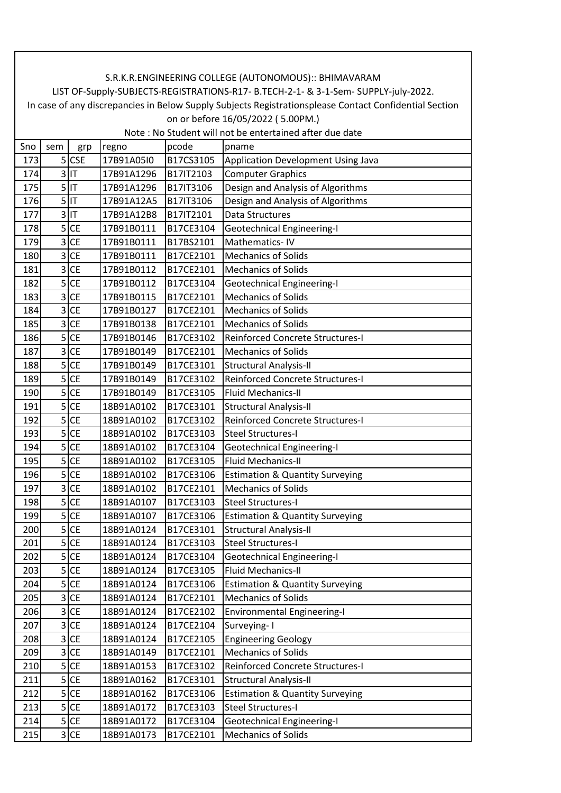| Sno | sem            | grp       | regno      | pcode     | pname                                      |
|-----|----------------|-----------|------------|-----------|--------------------------------------------|
| 173 |                | $5$ CSE   | 17B91A05I0 | B17CS3105 | Application Development Using Java         |
| 174 | 3              | lıt       | 17B91A1296 | B17IT2103 | <b>Computer Graphics</b>                   |
| 175 | $\overline{5}$ | IT        | 17B91A1296 | B17IT3106 | Design and Analysis of Algorithms          |
| 176 |                | $5$  IT   | 17B91A12A5 | B17IT3106 | Design and Analysis of Algorithms          |
| 177 |                | $3$ IT    | 17B91A12B8 | B17IT2101 | Data Structures                            |
| 178 | 5 <sup>1</sup> | <b>CE</b> | 17B91B0111 | B17CE3104 | <b>Geotechnical Engineering-I</b>          |
| 179 | 3              | <b>CE</b> | 17B91B0111 | B17BS2101 | Mathematics-IV                             |
| 180 | 3              | <b>CE</b> | 17B91B0111 | B17CE2101 | <b>Mechanics of Solids</b>                 |
| 181 | 3              | <b>CE</b> | 17B91B0112 | B17CE2101 | <b>Mechanics of Solids</b>                 |
| 182 | 5              | <b>CE</b> | 17B91B0112 | B17CE3104 | Geotechnical Engineering-I                 |
| 183 | 3              | <b>CE</b> | 17B91B0115 | B17CE2101 | <b>Mechanics of Solids</b>                 |
| 184 | 3              | <b>CE</b> | 17B91B0127 | B17CE2101 | <b>Mechanics of Solids</b>                 |
| 185 | 3              | <b>CE</b> | 17B91B0138 | B17CE2101 | <b>Mechanics of Solids</b>                 |
| 186 | 5              | <b>CE</b> | 17B91B0146 | B17CE3102 | <b>Reinforced Concrete Structures-I</b>    |
| 187 | 3              | <b>CE</b> | 17B91B0149 | B17CE2101 | <b>Mechanics of Solids</b>                 |
| 188 | 5              | <b>CE</b> | 17B91B0149 | B17CE3101 | <b>Structural Analysis-II</b>              |
| 189 | 5              | <b>CE</b> | 17B91B0149 | B17CE3102 | Reinforced Concrete Structures-I           |
| 190 | 5              | <b>CE</b> | 17B91B0149 | B17CE3105 | <b>Fluid Mechanics-II</b>                  |
| 191 |                | $5$ CE    | 18B91A0102 | B17CE3101 | <b>Structural Analysis-II</b>              |
| 192 | 5              | <b>CE</b> | 18B91A0102 | B17CE3102 | Reinforced Concrete Structures-I           |
| 193 | 5              | <b>CE</b> | 18B91A0102 | B17CE3103 | <b>Steel Structures-I</b>                  |
| 194 | 5 <sup>1</sup> | <b>CE</b> | 18B91A0102 | B17CE3104 | Geotechnical Engineering-I                 |
| 195 | 5              | <b>CE</b> | 18B91A0102 | B17CE3105 | <b>Fluid Mechanics-II</b>                  |
| 196 | 5              | <b>CE</b> | 18B91A0102 | B17CE3106 | <b>Estimation &amp; Quantity Surveying</b> |
| 197 | 3              | <b>CE</b> | 18B91A0102 | B17CE2101 | <b>Mechanics of Solids</b>                 |
| 198 |                | $5$ CE    | 18B91A0107 | B17CE3103 | <b>Steel Structures-I</b>                  |
| 199 | 5              | <b>CE</b> | 18B91A0107 | B17CE3106 | <b>Estimation &amp; Quantity Surveying</b> |
| 200 | 5              | <b>CE</b> | 18B91A0124 | B17CE3101 | <b>Structural Analysis-II</b>              |
| 201 | 5              | <b>CE</b> | 18B91A0124 | B17CE3103 | <b>Steel Structures-I</b>                  |
| 202 | $\overline{5}$ | <b>CE</b> | 18B91A0124 | B17CE3104 | <b>Geotechnical Engineering-I</b>          |
| 203 |                | $5$ CE    | 18B91A0124 | B17CE3105 | Fluid Mechanics-II                         |
| 204 |                | $5$ CE    | 18B91A0124 | B17CE3106 | <b>Estimation &amp; Quantity Surveying</b> |
| 205 | 3              | <b>CE</b> | 18B91A0124 | B17CE2101 | <b>Mechanics of Solids</b>                 |
| 206 | 3              | <b>CE</b> | 18B91A0124 | B17CE2102 | <b>Environmental Engineering-I</b>         |
| 207 | $\overline{3}$ | <b>CE</b> | 18B91A0124 | B17CE2104 | Surveying-1                                |
| 208 | 3              | <b>CE</b> | 18B91A0124 | B17CE2105 | <b>Engineering Geology</b>                 |
| 209 |                | $3$ CE    | 18B91A0149 | B17CE2101 | <b>Mechanics of Solids</b>                 |
| 210 |                | $5$ CE    | 18B91A0153 | B17CE3102 | Reinforced Concrete Structures-I           |
| 211 |                | $5$ CE    | 18B91A0162 | B17CE3101 | <b>Structural Analysis-II</b>              |
| 212 |                | $5$ CE    | 18B91A0162 | B17CE3106 | <b>Estimation &amp; Quantity Surveying</b> |
| 213 |                | $5$ CE    | 18B91A0172 | B17CE3103 | Steel Structures-I                         |
| 214 |                | $5$ CE    | 18B91A0172 | B17CE3104 | <b>Geotechnical Engineering-I</b>          |
| 215 |                | 3 CE      | 18B91A0173 | B17CE2101 | <b>Mechanics of Solids</b>                 |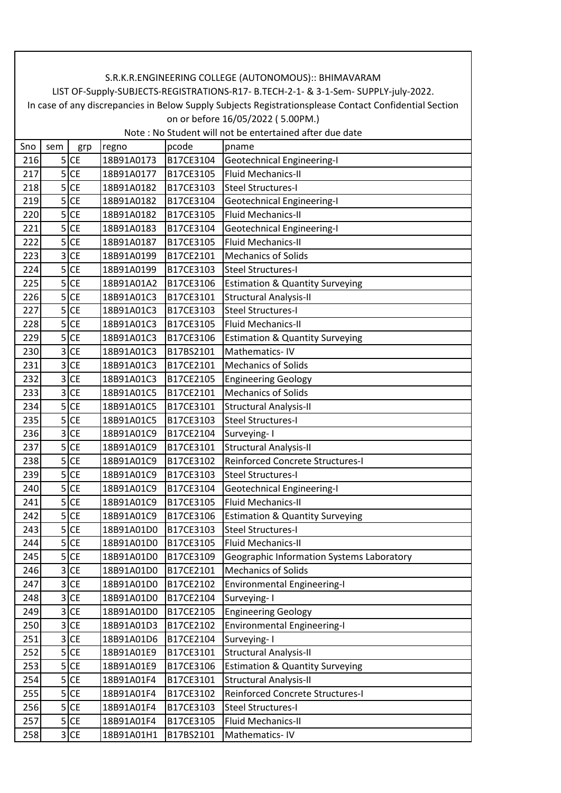| Sno | sem                     | grp       | regno      | pcode     | pname                                      |
|-----|-------------------------|-----------|------------|-----------|--------------------------------------------|
| 216 |                         | $5$ CE    | 18B91A0173 | B17CE3104 | Geotechnical Engineering-I                 |
| 217 | 5                       | <b>CE</b> | 18B91A0177 | B17CE3105 | <b>Fluid Mechanics-II</b>                  |
| 218 | 5 <sup>1</sup>          | <b>CE</b> | 18B91A0182 | B17CE3103 | <b>Steel Structures-I</b>                  |
| 219 | 5                       | <b>CE</b> | 18B91A0182 | B17CE3104 | <b>Geotechnical Engineering-I</b>          |
| 220 | 5                       | <b>CE</b> | 18B91A0182 | B17CE3105 | <b>Fluid Mechanics-II</b>                  |
| 221 | 5                       | <b>CE</b> | 18B91A0183 | B17CE3104 | <b>Geotechnical Engineering-I</b>          |
| 222 | 5                       | <b>CE</b> | 18B91A0187 | B17CE3105 | <b>Fluid Mechanics-II</b>                  |
| 223 | 3                       | <b>CE</b> | 18B91A0199 | B17CE2101 | <b>Mechanics of Solids</b>                 |
| 224 | 5                       | <b>CE</b> | 18B91A0199 | B17CE3103 | <b>Steel Structures-I</b>                  |
| 225 | 5                       | <b>CE</b> | 18B91A01A2 | B17CE3106 | <b>Estimation &amp; Quantity Surveying</b> |
| 226 | 5                       | <b>CE</b> | 18B91A01C3 | B17CE3101 | <b>Structural Analysis-II</b>              |
| 227 | 5                       | <b>CE</b> | 18B91A01C3 | B17CE3103 | <b>Steel Structures-I</b>                  |
| 228 | 5                       | <b>CE</b> | 18B91A01C3 | B17CE3105 | <b>Fluid Mechanics-II</b>                  |
| 229 | 5                       | <b>CE</b> | 18B91A01C3 | B17CE3106 | <b>Estimation &amp; Quantity Surveying</b> |
| 230 | 3                       | <b>CE</b> | 18B91A01C3 | B17BS2101 | Mathematics-IV                             |
| 231 | 3                       | <b>CE</b> | 18B91A01C3 | B17CE2101 | <b>Mechanics of Solids</b>                 |
| 232 | 3                       | <b>CE</b> | 18B91A01C3 | B17CE2105 | <b>Engineering Geology</b>                 |
| 233 | 3                       | <b>CE</b> | 18B91A01C5 | B17CE2101 | <b>Mechanics of Solids</b>                 |
| 234 | 5                       | <b>CE</b> | 18B91A01C5 | B17CE3101 | <b>Structural Analysis-II</b>              |
| 235 | 5                       | <b>CE</b> | 18B91A01C5 | B17CE3103 | <b>Steel Structures-I</b>                  |
| 236 | 3                       | <b>CE</b> | 18B91A01C9 | B17CE2104 | Surveying-1                                |
| 237 | 5 <sup>1</sup>          | <b>CE</b> | 18B91A01C9 | B17CE3101 | <b>Structural Analysis-II</b>              |
| 238 | 5                       | <b>CE</b> | 18B91A01C9 | B17CE3102 | <b>Reinforced Concrete Structures-I</b>    |
| 239 | 5                       | <b>CE</b> | 18B91A01C9 | B17CE3103 | <b>Steel Structures-I</b>                  |
| 240 | 5                       | <b>CE</b> | 18B91A01C9 | B17CE3104 | <b>Geotechnical Engineering-I</b>          |
| 241 | 5                       | <b>CE</b> | 18B91A01C9 | B17CE3105 | <b>Fluid Mechanics-II</b>                  |
| 242 | 5                       | <b>CE</b> | 18B91A01C9 | B17CE3106 | <b>Estimation &amp; Quantity Surveying</b> |
| 243 | 5                       | <b>CE</b> | 18B91A01D0 | B17CE3103 | <b>Steel Structures-I</b>                  |
| 244 | 5                       | <b>CE</b> | 18B91A01D0 | B17CE3105 | <b>Fluid Mechanics-II</b>                  |
| 245 | 5                       | <b>CE</b> | 18B91A01D0 | B17CE3109 | Geographic Information Systems Laboratory  |
| 246 | 3                       | <b>CE</b> | 18B91A01D0 | B17CE2101 | <b>Mechanics of Solids</b>                 |
| 247 | 3                       | <b>CE</b> | 18B91A01D0 | B17CE2102 | <b>Environmental Engineering-I</b>         |
| 248 | 3                       | <b>CE</b> | 18B91A01D0 | B17CE2104 | Surveying-1                                |
| 249 | $\overline{\mathbf{3}}$ | <b>CE</b> | 18B91A01D0 | B17CE2105 | <b>Engineering Geology</b>                 |
| 250 | 3                       | <b>CE</b> | 18B91A01D3 | B17CE2102 | <b>Environmental Engineering-I</b>         |
| 251 | 3                       | <b>CE</b> | 18B91A01D6 | B17CE2104 | Surveying-I                                |
| 252 | 5                       | <b>CE</b> | 18B91A01E9 | B17CE3101 | <b>Structural Analysis-II</b>              |
| 253 | 5                       | <b>CE</b> | 18B91A01E9 | B17CE3106 | <b>Estimation &amp; Quantity Surveying</b> |
| 254 | 5                       | <b>CE</b> | 18B91A01F4 | B17CE3101 | <b>Structural Analysis-II</b>              |
| 255 | 5 <sup>1</sup>          | <b>CE</b> | 18B91A01F4 | B17CE3102 | Reinforced Concrete Structures-I           |
| 256 |                         | $5$ CE    | 18B91A01F4 | B17CE3103 | <b>Steel Structures-I</b>                  |
| 257 | 5                       | <b>CE</b> | 18B91A01F4 | B17CE3105 | Fluid Mechanics-II                         |
| 258 |                         | 3 CE      | 18B91A01H1 | B17BS2101 | Mathematics-IV                             |
|     |                         |           |            |           |                                            |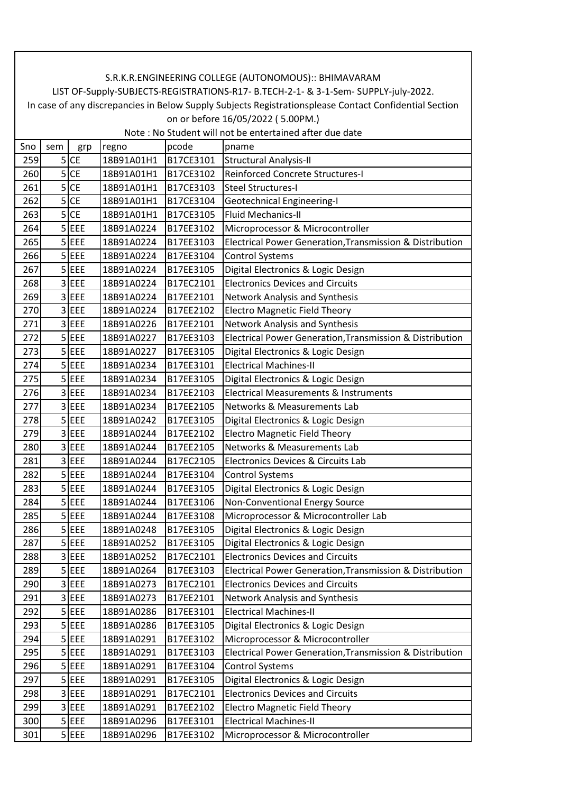| Sno | sem | grp        | regno      | pcode     | pname                                                    |
|-----|-----|------------|------------|-----------|----------------------------------------------------------|
| 259 |     | $5$ CE     | 18B91A01H1 | B17CE3101 | <b>Structural Analysis-II</b>                            |
| 260 | 5   | <b>CE</b>  | 18B91A01H1 | B17CE3102 | Reinforced Concrete Structures-I                         |
| 261 | 5   | <b>CE</b>  | 18B91A01H1 | B17CE3103 | <b>Steel Structures-I</b>                                |
| 262 | 5   | <b>CE</b>  | 18B91A01H1 | B17CE3104 | <b>Geotechnical Engineering-I</b>                        |
| 263 | 5   | <b>CE</b>  | 18B91A01H1 | B17CE3105 | <b>Fluid Mechanics-II</b>                                |
| 264 | 5   | EEE        | 18B91A0224 | B17EE3102 | Microprocessor & Microcontroller                         |
| 265 |     | $5$ EEE    | 18B91A0224 | B17EE3103 | Electrical Power Generation, Transmission & Distribution |
| 266 |     | $5$ EEE    | 18B91A0224 | B17EE3104 | <b>Control Systems</b>                                   |
| 267 |     | $5$ EEE    | 18B91A0224 | B17EE3105 | Digital Electronics & Logic Design                       |
| 268 | 3   | EEE        | 18B91A0224 | B17EC2101 | <b>Electronics Devices and Circuits</b>                  |
| 269 | 3   | EEE        | 18B91A0224 | B17EE2101 | Network Analysis and Synthesis                           |
| 270 | 3   | EEE        | 18B91A0224 | B17EE2102 | <b>Electro Magnetic Field Theory</b>                     |
| 271 |     | 3 EEE      | 18B91A0226 | B17EE2101 | Network Analysis and Synthesis                           |
| 272 |     | $5$ $EEE$  | 18B91A0227 | B17EE3103 | Electrical Power Generation, Transmission & Distribution |
| 273 |     | $5$ EEE    | 18B91A0227 | B17EE3105 | Digital Electronics & Logic Design                       |
| 274 | 5   | EEE        | 18B91A0234 | B17EE3101 | <b>Electrical Machines-II</b>                            |
| 275 |     | $5$ EEE    | 18B91A0234 | B17EE3105 | Digital Electronics & Logic Design                       |
| 276 | 3   | EEE        | 18B91A0234 | B17EE2103 | <b>Electrical Measurements &amp; Instruments</b>         |
| 277 |     | $3$ EEE    | 18B91A0234 | B17EE2105 | Networks & Measurements Lab                              |
| 278 |     | $5$ EEE    | 18B91A0242 | B17EE3105 | Digital Electronics & Logic Design                       |
| 279 | 3   | EEE        | 18B91A0244 | B17EE2102 | <b>Electro Magnetic Field Theory</b>                     |
| 280 | 3   | EEE        | 18B91A0244 | B17EE2105 | Networks & Measurements Lab                              |
| 281 | 3   | EEE        | 18B91A0244 | B17EC2105 | Electronics Devices & Circuits Lab                       |
| 282 |     | $5$ EEE    | 18B91A0244 | B17EE3104 | <b>Control Systems</b>                                   |
| 283 | 5   | EEE        | 18B91A0244 | B17EE3105 | Digital Electronics & Logic Design                       |
| 284 |     | $5$ EEE    | 18B91A0244 | B17EE3106 | Non-Conventional Energy Source                           |
| 285 |     | $5$ EEE    | 18B91A0244 | B17EE3108 | Microprocessor & Microcontroller Lab                     |
| 286 |     | $5$ EEE    | 18B91A0248 | B17EE3105 | Digital Electronics & Logic Design                       |
| 287 | 5   | EEE        | 18B91A0252 | B17EE3105 | Digital Electronics & Logic Design                       |
| 288 | 3   | EEE        | 18B91A0252 | B17EC2101 | <b>Electronics Devices and Circuits</b>                  |
| 289 |     | $5$ EEE    | 18B91A0264 | B17EE3103 | Electrical Power Generation, Transmission & Distribution |
| 290 | 3   | EEE        | 18B91A0273 | B17EC2101 | <b>Electronics Devices and Circuits</b>                  |
| 291 |     | 3 EEE      | 18B91A0273 | B17EE2101 | Network Analysis and Synthesis                           |
| 292 |     | $5$ EEE    | 18B91A0286 | B17EE3101 | <b>Electrical Machines-II</b>                            |
| 293 | 5   | EEE        | 18B91A0286 | B17EE3105 | Digital Electronics & Logic Design                       |
| 294 |     | $5$ EEE    | 18B91A0291 | B17EE3102 | Microprocessor & Microcontroller                         |
| 295 | 5   | EEE        | 18B91A0291 | B17EE3103 | Electrical Power Generation, Transmission & Distribution |
| 296 |     | $5$ EEE    | 18B91A0291 | B17EE3104 | <b>Control Systems</b>                                   |
| 297 |     | $5$ EEE    | 18B91A0291 | B17EE3105 | Digital Electronics & Logic Design                       |
| 298 |     | 3 EEE      | 18B91A0291 | B17EC2101 | <b>Electronics Devices and Circuits</b>                  |
| 299 | 3   | <b>EEE</b> | 18B91A0291 | B17EE2102 | <b>Electro Magnetic Field Theory</b>                     |
| 300 | 5   | EEE        | 18B91A0296 | B17EE3101 | <b>Electrical Machines-II</b>                            |
| 301 |     | $5$ EEE    | 18B91A0296 | B17EE3102 | Microprocessor & Microcontroller                         |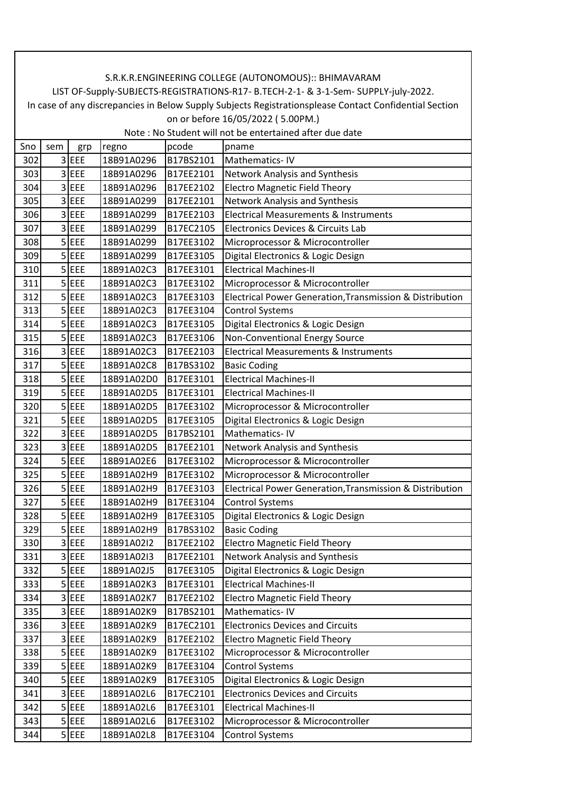| Sno | sem | grp       | regno      | pcode     | pname                                                    |
|-----|-----|-----------|------------|-----------|----------------------------------------------------------|
| 302 |     | 3 EEE     | 18B91A0296 | B17BS2101 | Mathematics-IV                                           |
| 303 |     | 3 EEE     | 18B91A0296 | B17EE2101 | Network Analysis and Synthesis                           |
| 304 |     | 3 EEE     | 18B91A0296 | B17EE2102 | <b>Electro Magnetic Field Theory</b>                     |
| 305 | 3   | EEE       | 18B91A0299 | B17EE2101 | Network Analysis and Synthesis                           |
| 306 |     | 3 EEE     | 18B91A0299 | B17EE2103 | <b>Electrical Measurements &amp; Instruments</b>         |
| 307 | 3   | EEE       | 18B91A0299 | B17EC2105 | Electronics Devices & Circuits Lab                       |
| 308 |     | $5$ $EEE$ | 18B91A0299 | B17EE3102 | Microprocessor & Microcontroller                         |
| 309 |     | $5$ EEE   | 18B91A0299 | B17EE3105 | Digital Electronics & Logic Design                       |
| 310 |     | $5$ EEE   | 18B91A02C3 | B17EE3101 | <b>Electrical Machines-II</b>                            |
| 311 |     | $5$ EEE   | 18B91A02C3 | B17EE3102 | Microprocessor & Microcontroller                         |
| 312 | 5   | EEE       | 18B91A02C3 | B17EE3103 | Electrical Power Generation, Transmission & Distribution |
| 313 |     | $5$ EEE   | 18B91A02C3 | B17EE3104 | <b>Control Systems</b>                                   |
| 314 |     | 5 EEE     | 18B91A02C3 | B17EE3105 | Digital Electronics & Logic Design                       |
| 315 |     | $5$ EEE   | 18B91A02C3 | B17EE3106 | Non-Conventional Energy Source                           |
| 316 |     | 3 EEE     | 18B91A02C3 | B17EE2103 | <b>Electrical Measurements &amp; Instruments</b>         |
| 317 | 5   | EEE       | 18B91A02C8 | B17BS3102 | <b>Basic Coding</b>                                      |
| 318 |     | $5$ EEE   | 18B91A02D0 | B17EE3101 | <b>Electrical Machines-II</b>                            |
| 319 |     | 5 EEE     | 18B91A02D5 | B17EE3101 | <b>Electrical Machines-II</b>                            |
| 320 |     | $5$ EEE   | 18B91A02D5 | B17EE3102 | Microprocessor & Microcontroller                         |
| 321 |     | $5$ EEE   | 18B91A02D5 | B17EE3105 | Digital Electronics & Logic Design                       |
| 322 |     | 3 EEE     | 18B91A02D5 | B17BS2101 | Mathematics-IV                                           |
| 323 |     | 3 EEE     | 18B91A02D5 | B17EE2101 | Network Analysis and Synthesis                           |
| 324 | 5   | EEE       | 18B91A02E6 | B17EE3102 | Microprocessor & Microcontroller                         |
| 325 |     | $5$ EEE   | 18B91A02H9 | B17EE3102 | Microprocessor & Microcontroller                         |
| 326 | 5   | EEE       | 18B91A02H9 | B17EE3103 | Electrical Power Generation, Transmission & Distribution |
| 327 |     | $5$ $EEE$ | 18B91A02H9 | B17EE3104 | <b>Control Systems</b>                                   |
| 328 |     | $5$ EEE   | 18B91A02H9 | B17EE3105 | Digital Electronics & Logic Design                       |
| 329 |     | $5$ EEE   | 18B91A02H9 | B17BS3102 | <b>Basic Coding</b>                                      |
| 330 |     | 3 EEE     | 18B91A02I2 | B17EE2102 | <b>Electro Magnetic Field Theory</b>                     |
| 331 | 3   | EEE       | 18B91A02I3 | B17EE2101 | Network Analysis and Synthesis                           |
| 332 |     | $5$ EEE   | 18B91A02J5 | B17EE3105 | Digital Electronics & Logic Design                       |
| 333 |     | $5$ EEE   | 18B91A02K3 | B17EE3101 | <b>Electrical Machines-II</b>                            |
| 334 |     | 3 EEE     | 18B91A02K7 | B17EE2102 | <b>Electro Magnetic Field Theory</b>                     |
| 335 |     | 3 EEE     | 18B91A02K9 | B17BS2101 | Mathematics-IV                                           |
| 336 |     | 3 EEE     | 18B91A02K9 | B17EC2101 | <b>Electronics Devices and Circuits</b>                  |
| 337 |     | 3 EEE     | 18B91A02K9 | B17EE2102 | <b>Electro Magnetic Field Theory</b>                     |
| 338 |     | 5 EEE     | 18B91A02K9 | B17EE3102 | Microprocessor & Microcontroller                         |
| 339 |     | $5$ EEE   | 18B91A02K9 | B17EE3104 | <b>Control Systems</b>                                   |
| 340 |     | $5$ EEE   | 18B91A02K9 | B17EE3105 | Digital Electronics & Logic Design                       |
| 341 |     | 3 EEE     | 18B91A02L6 | B17EC2101 | <b>Electronics Devices and Circuits</b>                  |
| 342 |     | $5$ EEE   | 18B91A02L6 | B17EE3101 | <b>Electrical Machines-II</b>                            |
| 343 | 5   | EEE       | 18B91A02L6 | B17EE3102 | Microprocessor & Microcontroller                         |
| 344 |     | $5$ EEE   | 18B91A02L8 | B17EE3104 | <b>Control Systems</b>                                   |
|     |     |           |            |           |                                                          |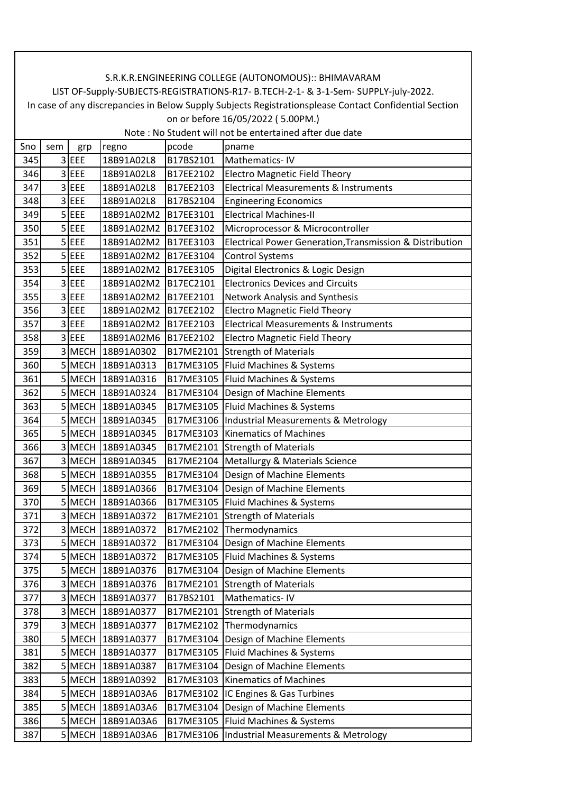| Sno | sem | grp         | regno             | pcode     | pname                                                    |
|-----|-----|-------------|-------------------|-----------|----------------------------------------------------------|
| 345 |     | 3 EEE       | 18B91A02L8        | B17BS2101 | Mathematics-IV                                           |
| 346 | 3   | EEE         | 18B91A02L8        | B17EE2102 | <b>Electro Magnetic Field Theory</b>                     |
| 347 |     | 3 EEE       | 18B91A02L8        | B17EE2103 | <b>Electrical Measurements &amp; Instruments</b>         |
| 348 | 3   | EEE         | 18B91A02L8        | B17BS2104 | <b>Engineering Economics</b>                             |
| 349 |     | $5$ EEE     | 18B91A02M2        | B17EE3101 | <b>Electrical Machines-II</b>                            |
| 350 |     | $5$ EEE     | 18B91A02M2        | B17EE3102 | Microprocessor & Microcontroller                         |
| 351 |     | $5$ EEE     | 18B91A02M2        | B17EE3103 | Electrical Power Generation, Transmission & Distribution |
| 352 |     | $5$ EEE     | 18B91A02M2        | B17EE3104 | <b>Control Systems</b>                                   |
| 353 |     | 5 EEE       | 18B91A02M2        | B17EE3105 | Digital Electronics & Logic Design                       |
| 354 |     | 3 EEE       | 18B91A02M2        | B17EC2101 | <b>Electronics Devices and Circuits</b>                  |
| 355 | 3   | EEE         | 18B91A02M2        | B17EE2101 | Network Analysis and Synthesis                           |
| 356 | 3   | EEE         | 18B91A02M2        | B17EE2102 | <b>Electro Magnetic Field Theory</b>                     |
| 357 |     | 3 EEE       | 18B91A02M2        | B17EE2103 | <b>Electrical Measurements &amp; Instruments</b>         |
| 358 |     | 3 EEE       | 18B91A02M6        | B17EE2102 | <b>Electro Magnetic Field Theory</b>                     |
| 359 |     | 3 MECH      | 18B91A0302        | B17ME2101 | <b>Strength of Materials</b>                             |
| 360 |     | <b>MECH</b> | 18B91A0313        |           | B17ME3105   Fluid Machines & Systems                     |
| 361 |     |             | 5 MECH 18B91A0316 |           | B17ME3105   Fluid Machines & Systems                     |
| 362 |     | 5 MECH      | 18B91A0324        | B17ME3104 | Design of Machine Elements                               |
| 363 |     |             | 5 MECH 18B91A0345 |           | B17ME3105   Fluid Machines & Systems                     |
| 364 |     | 5 MECH      | 18B91A0345        |           | B17ME3106  Industrial Measurements & Metrology           |
| 365 |     | 5 MECH      | 18B91A0345        |           | B17ME3103 Kinematics of Machines                         |
| 366 |     | 3 MECH      | 18B91A0345        |           | B17ME2101 Strength of Materials                          |
| 367 | 3   | <b>MECH</b> | 18B91A0345        |           | B17ME2104   Metallurgy & Materials Science               |
| 368 |     |             | 5 MECH 18B91A0355 |           | B17ME3104   Design of Machine Elements                   |
| 369 |     | 5 MECH      | 18B91A0366        | B17ME3104 | Design of Machine Elements                               |
| 370 |     |             | 5 MECH 18B91A0366 |           | B17ME3105   Fluid Machines & Systems                     |
| 371 |     | 3 MECH      | 18B91A0372        |           | B17ME2101 Strength of Materials                          |
| 372 | 3   | <b>MECH</b> | 18B91A0372        |           | B17ME2102 Thermodynamics                                 |
| 373 |     |             | 5 MECH 18B91A0372 |           | B17ME3104 Design of Machine Elements                     |
| 374 | 5   |             | MECH 18B91A0372   |           | B17ME3105   Fluid Machines & Systems                     |
| 375 |     |             | 5 MECH 18B91A0376 |           | B17ME3104   Design of Machine Elements                   |
| 376 |     | 3 MECH      | 18B91A0376        | B17ME2101 | <b>Strength of Materials</b>                             |
| 377 |     |             | 3MECH 18B91A0377  | B17BS2101 | Mathematics-IV                                           |
| 378 |     | 3 MECH      | 18B91A0377        | B17ME2101 | Strength of Materials                                    |
| 379 | 3   | <b>MECH</b> | 18B91A0377        | B17ME2102 | Thermodynamics                                           |
| 380 |     |             | 5 MECH 18B91A0377 |           | B17ME3104 Design of Machine Elements                     |
| 381 |     | 5 MECH      | 18B91A0377        | B17ME3105 | Fluid Machines & Systems                                 |
| 382 |     | 5 MECH      | 18B91A0387        | B17ME3104 | Design of Machine Elements                               |
| 383 |     | 5 MECH      | 18B91A0392        | B17ME3103 | <b>Kinematics of Machines</b>                            |
| 384 |     | 5 MECH      | 18B91A03A6        | B17ME3102 | IC Engines & Gas Turbines                                |
| 385 |     | 5 MECH      | 18B91A03A6        |           | B17ME3104 Design of Machine Elements                     |
| 386 | 5   | <b>MECH</b> | 18B91A03A6        | B17ME3105 | Fluid Machines & Systems                                 |
| 387 |     | 5 MECH      | 18B91A03A6        | B17ME3106 | Industrial Measurements & Metrology                      |
|     |     |             |                   |           |                                                          |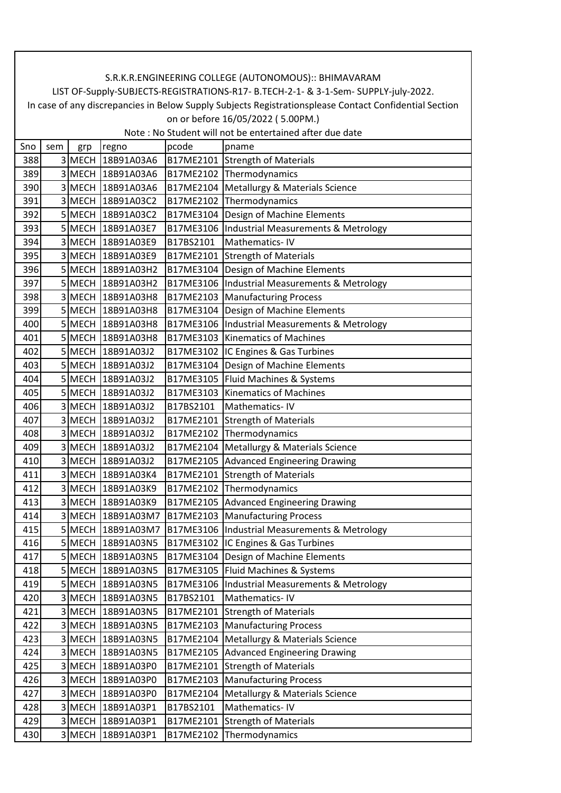| Sno | sem            | grp         | regno             | pcode     | pname                                          |
|-----|----------------|-------------|-------------------|-----------|------------------------------------------------|
| 388 |                | 3 MECH      | 18B91A03A6        |           | B17ME2101 Strength of Materials                |
| 389 | 3              |             | MECH 18B91A03A6   |           | B17ME2102 Thermodynamics                       |
| 390 | 3              | <b>MECH</b> | 18B91A03A6        |           | B17ME2104 Metallurgy & Materials Science       |
| 391 | 3              |             | MECH 18B91A03C2   |           | B17ME2102 Thermodynamics                       |
| 392 |                |             | 5 MECH 18B91A03C2 |           | B17ME3104 Design of Machine Elements           |
| 393 |                |             | 5 MECH 18B91A03E7 |           | B17ME3106  Industrial Measurements & Metrology |
| 394 |                | 3 MECH      | 18B91A03E9        | B17BS2101 | Mathematics-IV                                 |
| 395 |                |             | 3 MECH 18B91A03E9 |           | B17ME2101 Strength of Materials                |
| 396 |                |             | 5 MECH 18B91A03H2 |           | B17ME3104 Design of Machine Elements           |
| 397 |                | 5 MECH      | 18B91A03H2        |           | B17ME3106  Industrial Measurements & Metrology |
| 398 | 3              | <b>MECH</b> | 18B91A03H8        |           | B17ME2103   Manufacturing Process              |
| 399 |                |             | 5 MECH 18B91A03H8 |           | B17ME3104 Design of Machine Elements           |
| 400 |                |             | 5 MECH 18B91A03H8 |           | B17ME3106  Industrial Measurements & Metrology |
| 401 |                |             | 5 MECH 18B91A03H8 |           | B17ME3103 Kinematics of Machines               |
| 402 |                |             | 5 MECH 18B91A03J2 |           | B17ME3102  IC Engines & Gas Turbines           |
| 403 |                | <b>MECH</b> | 18B91A03J2        |           | B17ME3104   Design of Machine Elements         |
| 404 |                | 5 MECH      | 18B91A03J2        |           | B17ME3105 Fluid Machines & Systems             |
| 405 | 5 <sup>1</sup> |             | MECH 18B91A03J2   |           | B17ME3103   Kinematics of Machines             |
| 406 |                |             | 3 MECH 18B91A03J2 | B17BS2101 | Mathematics-IV                                 |
| 407 |                | 3 MECH      | 18B91A03J2        |           | B17ME2101 Strength of Materials                |
| 408 | 3              | <b>MECH</b> | 18B91A03J2        |           | B17ME2102 Thermodynamics                       |
| 409 |                | 3 MECH      | 18B91A03J2        |           | B17ME2104   Metallurgy & Materials Science     |
| 410 | 3              |             | MECH 18B91A03J2   |           | B17ME2105 Advanced Engineering Drawing         |
| 411 | $\overline{3}$ | <b>MECH</b> | 18B91A03K4        |           | B17ME2101 Strength of Materials                |
| 412 | 3              | <b>MECH</b> | 18B91A03K9        | B17ME2102 | Thermodynamics                                 |
| 413 |                | 3 MECH      | 18B91A03K9        |           | B17ME2105 Advanced Engineering Drawing         |
| 414 |                |             | 3 MECH 18B91A03M7 |           | B17ME2103 Manufacturing Process                |
| 415 |                | 5 MECH      | 18B91A03M7        |           | B17ME3106  Industrial Measurements & Metrology |
| 416 |                |             | 5 MECH 18B91A03N5 |           | B17ME3102 IC Engines & Gas Turbines            |
| 417 | 5 <sup>1</sup> |             | MECH 18B91A03N5   |           | B17ME3104 Design of Machine Elements           |
| 418 |                |             | 5 MECH 18B91A03N5 |           | B17ME3105   Fluid Machines & Systems           |
| 419 |                | 5 MECH      | 18B91A03N5        | B17ME3106 | Industrial Measurements & Metrology            |
| 420 |                | 3 MECH      | 18B91A03N5        | B17BS2101 | Mathematics-IV                                 |
| 421 |                | 3 MECH      | 18B91A03N5        | B17ME2101 | <b>Strength of Materials</b>                   |
| 422 |                | 3 MECH      | 18B91A03N5        | B17ME2103 | <b>Manufacturing Process</b>                   |
| 423 |                | 3 MECH      | 18B91A03N5        |           | B17ME2104   Metallurgy & Materials Science     |
| 424 | 3              | <b>MECH</b> | 18B91A03N5        | B17ME2105 | <b>Advanced Engineering Drawing</b>            |
| 425 | $\overline{3}$ | <b>MECH</b> | 18B91A03P0        | B17ME2101 | <b>Strength of Materials</b>                   |
| 426 |                | 3 MECH      | 18B91A03P0        | B17ME2103 | <b>Manufacturing Process</b>                   |
| 427 |                | 3 MECH      | 18B91A03P0        | B17ME2104 | Metallurgy & Materials Science                 |
| 428 | 3              | <b>MECH</b> | 18B91A03P1        | B17BS2101 | Mathematics-IV                                 |
| 429 | 3              | <b>MECH</b> | 18B91A03P1        | B17ME2101 | <b>Strength of Materials</b>                   |
| 430 |                | 3 MECH      | 18B91A03P1        | B17ME2102 | Thermodynamics                                 |
|     |                |             |                   |           |                                                |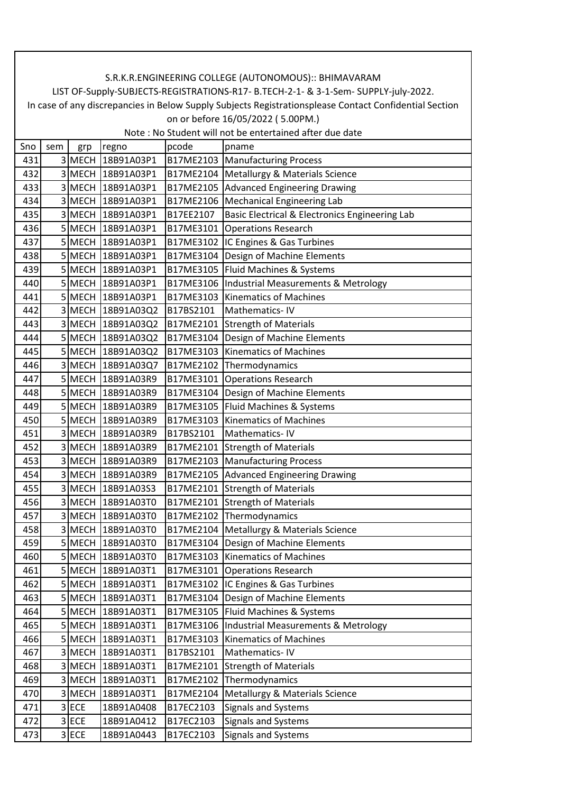| Sno | sem            | grp         | regno             | pcode     | pname                                          |
|-----|----------------|-------------|-------------------|-----------|------------------------------------------------|
| 431 |                | 3 MECH      | 18B91A03P1        |           | B17ME2103   Manufacturing Process              |
| 432 |                | <b>MECH</b> | 18B91A03P1        |           | B17ME2104 Metallurgy & Materials Science       |
| 433 |                | 3 MECH      | 18B91A03P1        |           | B17ME2105 Advanced Engineering Drawing         |
| 434 | 3              |             | MECH 18B91A03P1   |           | B17ME2106   Mechanical Engineering Lab         |
| 435 |                |             | 3 MECH 18B91A03P1 | B17EE2107 | Basic Electrical & Electronics Engineering Lab |
| 436 |                | 5 MECH      | 18B91A03P1        | B17ME3101 | <b>Operations Research</b>                     |
| 437 |                |             | 5 MECH 18B91A03P1 |           | B17ME3102 IC Engines & Gas Turbines            |
| 438 |                |             | 5 MECH 18B91A03P1 |           | B17ME3104 Design of Machine Elements           |
| 439 |                |             | 5 MECH 18B91A03P1 |           | B17ME3105   Fluid Machines & Systems           |
| 440 |                |             | 5 MECH 18B91A03P1 |           | B17ME3106  Industrial Measurements & Metrology |
| 441 | 5              | MECH        | 18B91A03P1        |           | B17ME3103 Kinematics of Machines               |
| 442 |                |             | 3 MECH 18B91A03Q2 | B17BS2101 | Mathematics-IV                                 |
| 443 |                |             | 3 MECH 18B91A03Q2 |           | B17ME2101 Strength of Materials                |
| 444 |                |             | 5 MECH 18B91A03Q2 |           | B17ME3104 Design of Machine Elements           |
| 445 |                |             | 5 MECH 18B91A03Q2 |           | B17ME3103 Kinematics of Machines               |
| 446 | 3              |             | MECH 18B91A03Q7   | B17ME2102 | Thermodynamics                                 |
| 447 |                | 5 MECH      | 18B91A03R9        | B17ME3101 | <b>Operations Research</b>                     |
| 448 |                |             | 5 MECH 18B91A03R9 | B17ME3104 | Design of Machine Elements                     |
| 449 |                |             | 5 MECH 18B91A03R9 |           | B17ME3105 Fluid Machines & Systems             |
| 450 |                |             | 5 MECH 18B91A03R9 |           | B17ME3103 Kinematics of Machines               |
| 451 |                | <b>MECH</b> | 18B91A03R9        | B17BS2101 | Mathematics-IV                                 |
| 452 |                | 3 MECH      | 18B91A03R9        |           | B17ME2101 Strength of Materials                |
| 453 | $\overline{3}$ |             | MECH 18B91A03R9   |           | B17ME2103   Manufacturing Process              |
| 454 |                |             | 3 MECH 18B91A03R9 |           | B17ME2105 Advanced Engineering Drawing         |
| 455 | 3              | <b>MECH</b> | 18B91A03S3        |           | B17ME2101 Strength of Materials                |
| 456 |                |             | 3 MECH 18B91A03T0 |           | B17ME2101 Strength of Materials                |
| 457 |                |             | 3 MECH 18B91A03T0 |           | B17ME2102 Thermodynamics                       |
| 458 | 3              | <b>MECH</b> | 18B91A03T0        |           | B17ME2104   Metallurgy & Materials Science     |
| 459 |                |             | 5 MECH 18B91A03T0 |           | B17ME3104 Design of Machine Elements           |
| 460 | $\overline{5}$ |             | MECH 18B91A03T0   |           | B17ME3103 Kinematics of Machines               |
| 461 |                |             | 5 MECH 18B91A03T1 |           | B17ME3101 Operations Research                  |
| 462 |                | 5 MECH      | 18B91A03T1        |           | B17ME3102 IC Engines & Gas Turbines            |
| 463 |                | 5 MECH      | 18B91A03T1        | B17ME3104 | Design of Machine Elements                     |
| 464 |                | 5 MECH      | 18B91A03T1        | B17ME3105 | Fluid Machines & Systems                       |
| 465 |                | 5 MECH      | 18B91A03T1        | B17ME3106 | Industrial Measurements & Metrology            |
| 466 |                | 5 MECH      | 18B91A03T1        | B17ME3103 | <b>Kinematics of Machines</b>                  |
| 467 |                | 3 MECH      | 18B91A03T1        | B17BS2101 | Mathematics-IV                                 |
| 468 |                | 3 MECH      | 18B91A03T1        | B17ME2101 | <b>Strength of Materials</b>                   |
| 469 |                | 3 MECH      | 18B91A03T1        | B17ME2102 | Thermodynamics                                 |
| 470 |                | 3 MECH      | 18B91A03T1        | B17ME2104 | Metallurgy & Materials Science                 |
| 471 |                | 3 ECE       | 18B91A0408        | B17EC2103 | <b>Signals and Systems</b>                     |
| 472 | 3              | <b>ECE</b>  | 18B91A0412        | B17EC2103 | Signals and Systems                            |
| 473 |                | 3 ECE       | 18B91A0443        | B17EC2103 | <b>Signals and Systems</b>                     |
|     |                |             |                   |           |                                                |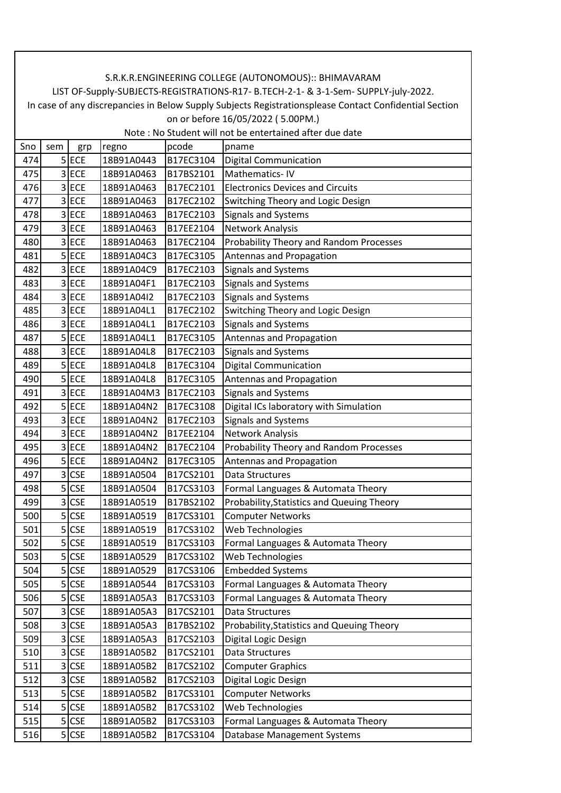| Sno | sem            | grp        | regno      | pcode     | pname                                      |
|-----|----------------|------------|------------|-----------|--------------------------------------------|
| 474 |                | 5 ECE      | 18B91A0443 | B17EC3104 | <b>Digital Communication</b>               |
| 475 | 3              | <b>ECE</b> | 18B91A0463 | B17BS2101 | Mathematics-IV                             |
| 476 |                | 3 ECE      | 18B91A0463 | B17EC2101 | <b>Electronics Devices and Circuits</b>    |
| 477 |                | 3 ECE      | 18B91A0463 | B17EC2102 | Switching Theory and Logic Design          |
| 478 | 3              | <b>ECE</b> | 18B91A0463 | B17EC2103 | <b>Signals and Systems</b>                 |
| 479 | 3              | <b>ECE</b> | 18B91A0463 | B17EE2104 | <b>Network Analysis</b>                    |
| 480 |                | 3 ECE      | 18B91A0463 | B17EC2104 | Probability Theory and Random Processes    |
| 481 |                | 5 ECE      | 18B91A04C3 | B17EC3105 | Antennas and Propagation                   |
| 482 |                | 3 ECE      | 18B91A04C9 | B17EC2103 | <b>Signals and Systems</b>                 |
| 483 |                | 3 ECE      | 18B91A04F1 | B17EC2103 | <b>Signals and Systems</b>                 |
| 484 | 3              | <b>ECE</b> | 18B91A04I2 | B17EC2103 | <b>Signals and Systems</b>                 |
| 485 |                | 3 ECE      | 18B91A04L1 | B17EC2102 | Switching Theory and Logic Design          |
| 486 | 3              | <b>ECE</b> | 18B91A04L1 | B17EC2103 | <b>Signals and Systems</b>                 |
| 487 |                | $5$ ECE    | 18B91A04L1 | B17EC3105 | Antennas and Propagation                   |
| 488 |                | 3 ECE      | 18B91A04L8 | B17EC2103 | <b>Signals and Systems</b>                 |
| 489 | 5              | ECE        | 18B91A04L8 | B17EC3104 | <b>Digital Communication</b>               |
| 490 |                | $5$ ECE    | 18B91A04L8 | B17EC3105 | Antennas and Propagation                   |
| 491 | 3              | <b>ECE</b> | 18B91A04M3 | B17EC2103 | <b>Signals and Systems</b>                 |
| 492 |                | $5$ ECE    | 18B91A04N2 | B17EC3108 | Digital ICs laboratory with Simulation     |
| 493 | 3              | <b>ECE</b> | 18B91A04N2 | B17EC2103 | <b>Signals and Systems</b>                 |
| 494 | 3              | <b>ECE</b> | 18B91A04N2 | B17EE2104 | <b>Network Analysis</b>                    |
| 495 |                | 3 ECE      | 18B91A04N2 | B17EC2104 | Probability Theory and Random Processes    |
| 496 |                | 5 ECE      | 18B91A04N2 | B17EC3105 | Antennas and Propagation                   |
| 497 | 3              | <b>CSE</b> | 18B91A0504 | B17CS2101 | Data Structures                            |
| 498 | 5              | <b>CSE</b> | 18B91A0504 | B17CS3103 | Formal Languages & Automata Theory         |
| 499 | 3              | <b>CSE</b> | 18B91A0519 | B17BS2102 | Probability, Statistics and Queuing Theory |
| 500 | 5 <sup>1</sup> | <b>CSE</b> | 18B91A0519 | B17CS3101 | <b>Computer Networks</b>                   |
| 501 | 5              | <b>CSE</b> | 18B91A0519 | B17CS3102 | Web Technologies                           |
| 502 | 5              | <b>CSE</b> | 18B91A0519 | B17CS3103 | Formal Languages & Automata Theory         |
| 503 | 5              | <b>CSE</b> | 18B91A0529 | B17CS3102 | Web Technologies                           |
| 504 | 5              | <b>CSE</b> | 18B91A0529 | B17CS3106 | <b>Embedded Systems</b>                    |
| 505 | 5              | <b>CSE</b> | 18B91A0544 | B17CS3103 | Formal Languages & Automata Theory         |
| 506 | 5              | <b>CSE</b> | 18B91A05A3 | B17CS3103 | Formal Languages & Automata Theory         |
| 507 | $\overline{3}$ | <b>CSE</b> | 18B91A05A3 | B17CS2101 | Data Structures                            |
| 508 | 3              | <b>CSE</b> | 18B91A05A3 | B17BS2102 | Probability, Statistics and Queuing Theory |
| 509 | 3              | <b>CSE</b> | 18B91A05A3 | B17CS2103 | Digital Logic Design                       |
| 510 | 3              | <b>CSE</b> | 18B91A05B2 | B17CS2101 | Data Structures                            |
| 511 | 3              | <b>CSE</b> | 18B91A05B2 | B17CS2102 | <b>Computer Graphics</b>                   |
| 512 | 3              | <b>CSE</b> | 18B91A05B2 | B17CS2103 | Digital Logic Design                       |
| 513 | 5              | <b>CSE</b> | 18B91A05B2 | B17CS3101 | <b>Computer Networks</b>                   |
| 514 |                | $5$ CSE    | 18B91A05B2 | B17CS3102 | Web Technologies                           |
| 515 | 5              | <b>CSE</b> | 18B91A05B2 | B17CS3103 | Formal Languages & Automata Theory         |
| 516 | 5              | <b>CSE</b> | 18B91A05B2 | B17CS3104 | Database Management Systems                |
|     |                |            |            |           |                                            |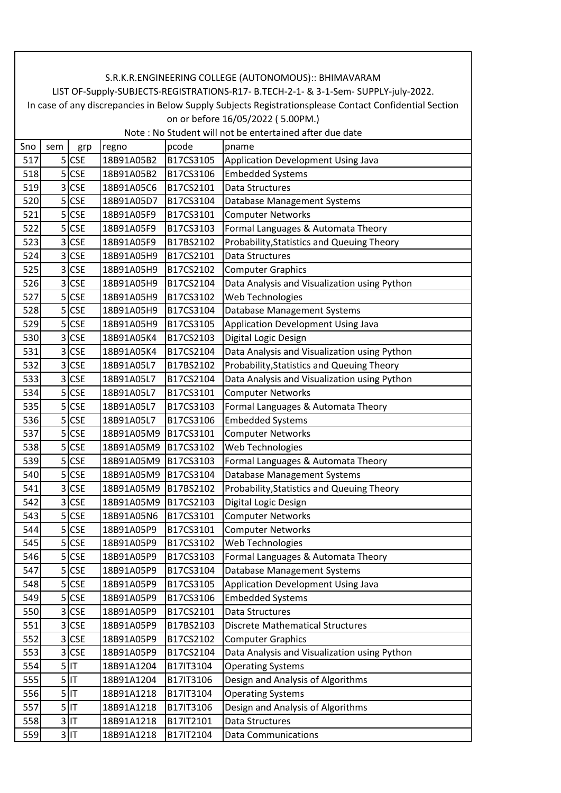| Sno<br>pcode<br>sem<br>regno<br>pname<br>grp<br>517<br>5<br><b>CSE</b><br>18B91A05B2<br>B17CS3105<br>Application Development Using Java<br>5<br><b>CSE</b><br>18B91A05B2<br>B17CS3106<br>518<br><b>Embedded Systems</b><br>519<br>3<br><b>CSE</b><br>18B91A05C6<br>B17CS2101<br>Data Structures<br>5<br><b>CSE</b><br>520<br>18B91A05D7<br>B17CS3104<br>Database Management Systems<br>5<br>521<br><b>CSE</b><br>B17CS3101<br>18B91A05F9<br><b>Computer Networks</b><br>5<br><b>CSE</b><br>B17CS3103<br>Formal Languages & Automata Theory<br>522<br>18B91A05F9<br>3<br><b>CSE</b><br>B17BS2102<br>523<br>18B91A05F9<br>Probability, Statistics and Queuing Theory<br><b>CSE</b><br>524<br>3<br>18B91A05H9<br>B17CS2101<br>Data Structures<br><b>CSE</b><br>525<br>3<br>18B91A05H9<br>B17CS2102<br><b>Computer Graphics</b><br>526<br>3<br><b>CSE</b><br>18B91A05H9<br>B17CS2104<br>Data Analysis and Visualization using Python<br>5<br><b>CSE</b><br>18B91A05H9<br>B17CS3102<br>Web Technologies<br>527<br>5 <sup>1</sup><br><b>CSE</b><br>528<br>18B91A05H9<br>B17CS3104<br>Database Management Systems<br><b>Application Development Using Java</b><br>529<br>5<br><b>CSE</b><br>18B91A05H9<br>B17CS3105<br>3<br><b>CSE</b><br>B17CS2103<br>530<br>18B91A05K4<br>Digital Logic Design<br><b>CSE</b><br>B17CS2104<br>Data Analysis and Visualization using Python<br>531<br>3<br>18B91A05K4<br>3<br><b>CSE</b><br>18B91A05L7<br>B17BS2102<br>Probability, Statistics and Queuing Theory<br>532<br><b>CSE</b><br>533<br>3<br>18B91A05L7<br>B17CS2104<br>Data Analysis and Visualization using Python<br>$5$ CSE<br>534<br>18B91A05L7<br>B17CS3101<br><b>Computer Networks</b><br>5 <sup>1</sup><br>535<br><b>CSE</b><br>B17CS3103<br>Formal Languages & Automata Theory<br>18B91A05L7<br><b>Embedded Systems</b><br>536<br>5<br><b>CSE</b><br>18B91A05L7<br>B17CS3106<br>5<br><b>CSE</b><br>B17CS3101<br><b>Computer Networks</b><br>537<br>18B91A05M9<br><b>CSE</b><br>538<br>5<br>18B91A05M9<br>B17CS3102<br>Web Technologies<br>5<br><b>CSE</b><br>18B91A05M9<br>B17CS3103<br>Formal Languages & Automata Theory<br>539<br>B17CS3104<br>540<br>5<br><b>CSE</b><br>18B91A05M9<br>Database Management Systems<br>3<br>B17BS2102<br>Probability, Statistics and Queuing Theory<br>541<br><b>CSE</b><br>18B91A05M9<br>3<br><b>CSE</b><br>18B91A05M9<br>B17CS2103<br>Digital Logic Design<br>542<br>5<br><b>CSE</b><br><b>Computer Networks</b><br>543<br>18B91A05N6<br>B17CS3101<br>5<br><b>CSE</b><br>18B91A05P9<br>B17CS3101<br><b>Computer Networks</b><br>544<br>Web Technologies<br><b>CSE</b><br>18B91A05P9<br>B17CS3102<br>545<br>546<br>5<br><b>CSE</b><br>B17CS3103<br>Formal Languages & Automata Theory<br>18B91A05P9<br>$5$ CSE<br>547<br>18B91A05P9<br>B17CS3104<br>Database Management Systems<br>Application Development Using Java<br>5<br><b>CSE</b><br>18B91A05P9<br>B17CS3105<br>548<br><b>CSE</b><br>B17CS3106<br>549<br>5<br>18B91A05P9<br><b>Embedded Systems</b><br>550<br><b>CSE</b><br>18B91A05P9<br>B17CS2101<br>Data Structures<br>3<br>3<br><b>CSE</b><br><b>Discrete Mathematical Structures</b><br>551<br>18B91A05P9<br>B17BS2103<br><b>CSE</b><br>552<br>18B91A05P9<br>B17CS2102<br>3<br><b>Computer Graphics</b><br>Data Analysis and Visualization using Python<br>553<br>3<br><b>CSE</b><br>18B91A05P9<br>B17CS2104<br>$5$ IT<br>554<br>18B91A1204<br>B17IT3104<br><b>Operating Systems</b><br>Design and Analysis of Algorithms<br>555<br>$5$ IT<br>B17IT3106<br>18B91A1204<br>$5$ IT<br>556<br>18B91A1218<br>B17IT3104<br><b>Operating Systems</b><br>Design and Analysis of Algorithms<br>557<br>$5$ IT<br>18B91A1218<br>B17IT3106<br>$3$ IT<br>18B91A1218<br>B17IT2101<br>Data Structures<br>558<br>$3$ IT<br>559<br>18B91A1218<br>B17IT2104<br><b>Data Communications</b> |  |  |  |
|-------------------------------------------------------------------------------------------------------------------------------------------------------------------------------------------------------------------------------------------------------------------------------------------------------------------------------------------------------------------------------------------------------------------------------------------------------------------------------------------------------------------------------------------------------------------------------------------------------------------------------------------------------------------------------------------------------------------------------------------------------------------------------------------------------------------------------------------------------------------------------------------------------------------------------------------------------------------------------------------------------------------------------------------------------------------------------------------------------------------------------------------------------------------------------------------------------------------------------------------------------------------------------------------------------------------------------------------------------------------------------------------------------------------------------------------------------------------------------------------------------------------------------------------------------------------------------------------------------------------------------------------------------------------------------------------------------------------------------------------------------------------------------------------------------------------------------------------------------------------------------------------------------------------------------------------------------------------------------------------------------------------------------------------------------------------------------------------------------------------------------------------------------------------------------------------------------------------------------------------------------------------------------------------------------------------------------------------------------------------------------------------------------------------------------------------------------------------------------------------------------------------------------------------------------------------------------------------------------------------------------------------------------------------------------------------------------------------------------------------------------------------------------------------------------------------------------------------------------------------------------------------------------------------------------------------------------------------------------------------------------------------------------------------------------------------------------------------------------------------------------------------------------------------------------------------------------------------------------------------------------------------------------------------------------------------------------------------------------------------------------------------------------------------------------------------------------------------------------------------------------------------------------------------------------------------------------------------------------------------------------------------------------------------------------------------------------------------------------------------------------------------------------------------------------------------|--|--|--|
|                                                                                                                                                                                                                                                                                                                                                                                                                                                                                                                                                                                                                                                                                                                                                                                                                                                                                                                                                                                                                                                                                                                                                                                                                                                                                                                                                                                                                                                                                                                                                                                                                                                                                                                                                                                                                                                                                                                                                                                                                                                                                                                                                                                                                                                                                                                                                                                                                                                                                                                                                                                                                                                                                                                                                                                                                                                                                                                                                                                                                                                                                                                                                                                                                                                                                                                                                                                                                                                                                                                                                                                                                                                                                                                                                                                                                   |  |  |  |
|                                                                                                                                                                                                                                                                                                                                                                                                                                                                                                                                                                                                                                                                                                                                                                                                                                                                                                                                                                                                                                                                                                                                                                                                                                                                                                                                                                                                                                                                                                                                                                                                                                                                                                                                                                                                                                                                                                                                                                                                                                                                                                                                                                                                                                                                                                                                                                                                                                                                                                                                                                                                                                                                                                                                                                                                                                                                                                                                                                                                                                                                                                                                                                                                                                                                                                                                                                                                                                                                                                                                                                                                                                                                                                                                                                                                                   |  |  |  |
|                                                                                                                                                                                                                                                                                                                                                                                                                                                                                                                                                                                                                                                                                                                                                                                                                                                                                                                                                                                                                                                                                                                                                                                                                                                                                                                                                                                                                                                                                                                                                                                                                                                                                                                                                                                                                                                                                                                                                                                                                                                                                                                                                                                                                                                                                                                                                                                                                                                                                                                                                                                                                                                                                                                                                                                                                                                                                                                                                                                                                                                                                                                                                                                                                                                                                                                                                                                                                                                                                                                                                                                                                                                                                                                                                                                                                   |  |  |  |
|                                                                                                                                                                                                                                                                                                                                                                                                                                                                                                                                                                                                                                                                                                                                                                                                                                                                                                                                                                                                                                                                                                                                                                                                                                                                                                                                                                                                                                                                                                                                                                                                                                                                                                                                                                                                                                                                                                                                                                                                                                                                                                                                                                                                                                                                                                                                                                                                                                                                                                                                                                                                                                                                                                                                                                                                                                                                                                                                                                                                                                                                                                                                                                                                                                                                                                                                                                                                                                                                                                                                                                                                                                                                                                                                                                                                                   |  |  |  |
|                                                                                                                                                                                                                                                                                                                                                                                                                                                                                                                                                                                                                                                                                                                                                                                                                                                                                                                                                                                                                                                                                                                                                                                                                                                                                                                                                                                                                                                                                                                                                                                                                                                                                                                                                                                                                                                                                                                                                                                                                                                                                                                                                                                                                                                                                                                                                                                                                                                                                                                                                                                                                                                                                                                                                                                                                                                                                                                                                                                                                                                                                                                                                                                                                                                                                                                                                                                                                                                                                                                                                                                                                                                                                                                                                                                                                   |  |  |  |
|                                                                                                                                                                                                                                                                                                                                                                                                                                                                                                                                                                                                                                                                                                                                                                                                                                                                                                                                                                                                                                                                                                                                                                                                                                                                                                                                                                                                                                                                                                                                                                                                                                                                                                                                                                                                                                                                                                                                                                                                                                                                                                                                                                                                                                                                                                                                                                                                                                                                                                                                                                                                                                                                                                                                                                                                                                                                                                                                                                                                                                                                                                                                                                                                                                                                                                                                                                                                                                                                                                                                                                                                                                                                                                                                                                                                                   |  |  |  |
|                                                                                                                                                                                                                                                                                                                                                                                                                                                                                                                                                                                                                                                                                                                                                                                                                                                                                                                                                                                                                                                                                                                                                                                                                                                                                                                                                                                                                                                                                                                                                                                                                                                                                                                                                                                                                                                                                                                                                                                                                                                                                                                                                                                                                                                                                                                                                                                                                                                                                                                                                                                                                                                                                                                                                                                                                                                                                                                                                                                                                                                                                                                                                                                                                                                                                                                                                                                                                                                                                                                                                                                                                                                                                                                                                                                                                   |  |  |  |
|                                                                                                                                                                                                                                                                                                                                                                                                                                                                                                                                                                                                                                                                                                                                                                                                                                                                                                                                                                                                                                                                                                                                                                                                                                                                                                                                                                                                                                                                                                                                                                                                                                                                                                                                                                                                                                                                                                                                                                                                                                                                                                                                                                                                                                                                                                                                                                                                                                                                                                                                                                                                                                                                                                                                                                                                                                                                                                                                                                                                                                                                                                                                                                                                                                                                                                                                                                                                                                                                                                                                                                                                                                                                                                                                                                                                                   |  |  |  |
|                                                                                                                                                                                                                                                                                                                                                                                                                                                                                                                                                                                                                                                                                                                                                                                                                                                                                                                                                                                                                                                                                                                                                                                                                                                                                                                                                                                                                                                                                                                                                                                                                                                                                                                                                                                                                                                                                                                                                                                                                                                                                                                                                                                                                                                                                                                                                                                                                                                                                                                                                                                                                                                                                                                                                                                                                                                                                                                                                                                                                                                                                                                                                                                                                                                                                                                                                                                                                                                                                                                                                                                                                                                                                                                                                                                                                   |  |  |  |
|                                                                                                                                                                                                                                                                                                                                                                                                                                                                                                                                                                                                                                                                                                                                                                                                                                                                                                                                                                                                                                                                                                                                                                                                                                                                                                                                                                                                                                                                                                                                                                                                                                                                                                                                                                                                                                                                                                                                                                                                                                                                                                                                                                                                                                                                                                                                                                                                                                                                                                                                                                                                                                                                                                                                                                                                                                                                                                                                                                                                                                                                                                                                                                                                                                                                                                                                                                                                                                                                                                                                                                                                                                                                                                                                                                                                                   |  |  |  |
|                                                                                                                                                                                                                                                                                                                                                                                                                                                                                                                                                                                                                                                                                                                                                                                                                                                                                                                                                                                                                                                                                                                                                                                                                                                                                                                                                                                                                                                                                                                                                                                                                                                                                                                                                                                                                                                                                                                                                                                                                                                                                                                                                                                                                                                                                                                                                                                                                                                                                                                                                                                                                                                                                                                                                                                                                                                                                                                                                                                                                                                                                                                                                                                                                                                                                                                                                                                                                                                                                                                                                                                                                                                                                                                                                                                                                   |  |  |  |
|                                                                                                                                                                                                                                                                                                                                                                                                                                                                                                                                                                                                                                                                                                                                                                                                                                                                                                                                                                                                                                                                                                                                                                                                                                                                                                                                                                                                                                                                                                                                                                                                                                                                                                                                                                                                                                                                                                                                                                                                                                                                                                                                                                                                                                                                                                                                                                                                                                                                                                                                                                                                                                                                                                                                                                                                                                                                                                                                                                                                                                                                                                                                                                                                                                                                                                                                                                                                                                                                                                                                                                                                                                                                                                                                                                                                                   |  |  |  |
|                                                                                                                                                                                                                                                                                                                                                                                                                                                                                                                                                                                                                                                                                                                                                                                                                                                                                                                                                                                                                                                                                                                                                                                                                                                                                                                                                                                                                                                                                                                                                                                                                                                                                                                                                                                                                                                                                                                                                                                                                                                                                                                                                                                                                                                                                                                                                                                                                                                                                                                                                                                                                                                                                                                                                                                                                                                                                                                                                                                                                                                                                                                                                                                                                                                                                                                                                                                                                                                                                                                                                                                                                                                                                                                                                                                                                   |  |  |  |
|                                                                                                                                                                                                                                                                                                                                                                                                                                                                                                                                                                                                                                                                                                                                                                                                                                                                                                                                                                                                                                                                                                                                                                                                                                                                                                                                                                                                                                                                                                                                                                                                                                                                                                                                                                                                                                                                                                                                                                                                                                                                                                                                                                                                                                                                                                                                                                                                                                                                                                                                                                                                                                                                                                                                                                                                                                                                                                                                                                                                                                                                                                                                                                                                                                                                                                                                                                                                                                                                                                                                                                                                                                                                                                                                                                                                                   |  |  |  |
|                                                                                                                                                                                                                                                                                                                                                                                                                                                                                                                                                                                                                                                                                                                                                                                                                                                                                                                                                                                                                                                                                                                                                                                                                                                                                                                                                                                                                                                                                                                                                                                                                                                                                                                                                                                                                                                                                                                                                                                                                                                                                                                                                                                                                                                                                                                                                                                                                                                                                                                                                                                                                                                                                                                                                                                                                                                                                                                                                                                                                                                                                                                                                                                                                                                                                                                                                                                                                                                                                                                                                                                                                                                                                                                                                                                                                   |  |  |  |
|                                                                                                                                                                                                                                                                                                                                                                                                                                                                                                                                                                                                                                                                                                                                                                                                                                                                                                                                                                                                                                                                                                                                                                                                                                                                                                                                                                                                                                                                                                                                                                                                                                                                                                                                                                                                                                                                                                                                                                                                                                                                                                                                                                                                                                                                                                                                                                                                                                                                                                                                                                                                                                                                                                                                                                                                                                                                                                                                                                                                                                                                                                                                                                                                                                                                                                                                                                                                                                                                                                                                                                                                                                                                                                                                                                                                                   |  |  |  |
|                                                                                                                                                                                                                                                                                                                                                                                                                                                                                                                                                                                                                                                                                                                                                                                                                                                                                                                                                                                                                                                                                                                                                                                                                                                                                                                                                                                                                                                                                                                                                                                                                                                                                                                                                                                                                                                                                                                                                                                                                                                                                                                                                                                                                                                                                                                                                                                                                                                                                                                                                                                                                                                                                                                                                                                                                                                                                                                                                                                                                                                                                                                                                                                                                                                                                                                                                                                                                                                                                                                                                                                                                                                                                                                                                                                                                   |  |  |  |
|                                                                                                                                                                                                                                                                                                                                                                                                                                                                                                                                                                                                                                                                                                                                                                                                                                                                                                                                                                                                                                                                                                                                                                                                                                                                                                                                                                                                                                                                                                                                                                                                                                                                                                                                                                                                                                                                                                                                                                                                                                                                                                                                                                                                                                                                                                                                                                                                                                                                                                                                                                                                                                                                                                                                                                                                                                                                                                                                                                                                                                                                                                                                                                                                                                                                                                                                                                                                                                                                                                                                                                                                                                                                                                                                                                                                                   |  |  |  |
|                                                                                                                                                                                                                                                                                                                                                                                                                                                                                                                                                                                                                                                                                                                                                                                                                                                                                                                                                                                                                                                                                                                                                                                                                                                                                                                                                                                                                                                                                                                                                                                                                                                                                                                                                                                                                                                                                                                                                                                                                                                                                                                                                                                                                                                                                                                                                                                                                                                                                                                                                                                                                                                                                                                                                                                                                                                                                                                                                                                                                                                                                                                                                                                                                                                                                                                                                                                                                                                                                                                                                                                                                                                                                                                                                                                                                   |  |  |  |
|                                                                                                                                                                                                                                                                                                                                                                                                                                                                                                                                                                                                                                                                                                                                                                                                                                                                                                                                                                                                                                                                                                                                                                                                                                                                                                                                                                                                                                                                                                                                                                                                                                                                                                                                                                                                                                                                                                                                                                                                                                                                                                                                                                                                                                                                                                                                                                                                                                                                                                                                                                                                                                                                                                                                                                                                                                                                                                                                                                                                                                                                                                                                                                                                                                                                                                                                                                                                                                                                                                                                                                                                                                                                                                                                                                                                                   |  |  |  |
|                                                                                                                                                                                                                                                                                                                                                                                                                                                                                                                                                                                                                                                                                                                                                                                                                                                                                                                                                                                                                                                                                                                                                                                                                                                                                                                                                                                                                                                                                                                                                                                                                                                                                                                                                                                                                                                                                                                                                                                                                                                                                                                                                                                                                                                                                                                                                                                                                                                                                                                                                                                                                                                                                                                                                                                                                                                                                                                                                                                                                                                                                                                                                                                                                                                                                                                                                                                                                                                                                                                                                                                                                                                                                                                                                                                                                   |  |  |  |
|                                                                                                                                                                                                                                                                                                                                                                                                                                                                                                                                                                                                                                                                                                                                                                                                                                                                                                                                                                                                                                                                                                                                                                                                                                                                                                                                                                                                                                                                                                                                                                                                                                                                                                                                                                                                                                                                                                                                                                                                                                                                                                                                                                                                                                                                                                                                                                                                                                                                                                                                                                                                                                                                                                                                                                                                                                                                                                                                                                                                                                                                                                                                                                                                                                                                                                                                                                                                                                                                                                                                                                                                                                                                                                                                                                                                                   |  |  |  |
|                                                                                                                                                                                                                                                                                                                                                                                                                                                                                                                                                                                                                                                                                                                                                                                                                                                                                                                                                                                                                                                                                                                                                                                                                                                                                                                                                                                                                                                                                                                                                                                                                                                                                                                                                                                                                                                                                                                                                                                                                                                                                                                                                                                                                                                                                                                                                                                                                                                                                                                                                                                                                                                                                                                                                                                                                                                                                                                                                                                                                                                                                                                                                                                                                                                                                                                                                                                                                                                                                                                                                                                                                                                                                                                                                                                                                   |  |  |  |
|                                                                                                                                                                                                                                                                                                                                                                                                                                                                                                                                                                                                                                                                                                                                                                                                                                                                                                                                                                                                                                                                                                                                                                                                                                                                                                                                                                                                                                                                                                                                                                                                                                                                                                                                                                                                                                                                                                                                                                                                                                                                                                                                                                                                                                                                                                                                                                                                                                                                                                                                                                                                                                                                                                                                                                                                                                                                                                                                                                                                                                                                                                                                                                                                                                                                                                                                                                                                                                                                                                                                                                                                                                                                                                                                                                                                                   |  |  |  |
|                                                                                                                                                                                                                                                                                                                                                                                                                                                                                                                                                                                                                                                                                                                                                                                                                                                                                                                                                                                                                                                                                                                                                                                                                                                                                                                                                                                                                                                                                                                                                                                                                                                                                                                                                                                                                                                                                                                                                                                                                                                                                                                                                                                                                                                                                                                                                                                                                                                                                                                                                                                                                                                                                                                                                                                                                                                                                                                                                                                                                                                                                                                                                                                                                                                                                                                                                                                                                                                                                                                                                                                                                                                                                                                                                                                                                   |  |  |  |
|                                                                                                                                                                                                                                                                                                                                                                                                                                                                                                                                                                                                                                                                                                                                                                                                                                                                                                                                                                                                                                                                                                                                                                                                                                                                                                                                                                                                                                                                                                                                                                                                                                                                                                                                                                                                                                                                                                                                                                                                                                                                                                                                                                                                                                                                                                                                                                                                                                                                                                                                                                                                                                                                                                                                                                                                                                                                                                                                                                                                                                                                                                                                                                                                                                                                                                                                                                                                                                                                                                                                                                                                                                                                                                                                                                                                                   |  |  |  |
|                                                                                                                                                                                                                                                                                                                                                                                                                                                                                                                                                                                                                                                                                                                                                                                                                                                                                                                                                                                                                                                                                                                                                                                                                                                                                                                                                                                                                                                                                                                                                                                                                                                                                                                                                                                                                                                                                                                                                                                                                                                                                                                                                                                                                                                                                                                                                                                                                                                                                                                                                                                                                                                                                                                                                                                                                                                                                                                                                                                                                                                                                                                                                                                                                                                                                                                                                                                                                                                                                                                                                                                                                                                                                                                                                                                                                   |  |  |  |
|                                                                                                                                                                                                                                                                                                                                                                                                                                                                                                                                                                                                                                                                                                                                                                                                                                                                                                                                                                                                                                                                                                                                                                                                                                                                                                                                                                                                                                                                                                                                                                                                                                                                                                                                                                                                                                                                                                                                                                                                                                                                                                                                                                                                                                                                                                                                                                                                                                                                                                                                                                                                                                                                                                                                                                                                                                                                                                                                                                                                                                                                                                                                                                                                                                                                                                                                                                                                                                                                                                                                                                                                                                                                                                                                                                                                                   |  |  |  |
|                                                                                                                                                                                                                                                                                                                                                                                                                                                                                                                                                                                                                                                                                                                                                                                                                                                                                                                                                                                                                                                                                                                                                                                                                                                                                                                                                                                                                                                                                                                                                                                                                                                                                                                                                                                                                                                                                                                                                                                                                                                                                                                                                                                                                                                                                                                                                                                                                                                                                                                                                                                                                                                                                                                                                                                                                                                                                                                                                                                                                                                                                                                                                                                                                                                                                                                                                                                                                                                                                                                                                                                                                                                                                                                                                                                                                   |  |  |  |
|                                                                                                                                                                                                                                                                                                                                                                                                                                                                                                                                                                                                                                                                                                                                                                                                                                                                                                                                                                                                                                                                                                                                                                                                                                                                                                                                                                                                                                                                                                                                                                                                                                                                                                                                                                                                                                                                                                                                                                                                                                                                                                                                                                                                                                                                                                                                                                                                                                                                                                                                                                                                                                                                                                                                                                                                                                                                                                                                                                                                                                                                                                                                                                                                                                                                                                                                                                                                                                                                                                                                                                                                                                                                                                                                                                                                                   |  |  |  |
|                                                                                                                                                                                                                                                                                                                                                                                                                                                                                                                                                                                                                                                                                                                                                                                                                                                                                                                                                                                                                                                                                                                                                                                                                                                                                                                                                                                                                                                                                                                                                                                                                                                                                                                                                                                                                                                                                                                                                                                                                                                                                                                                                                                                                                                                                                                                                                                                                                                                                                                                                                                                                                                                                                                                                                                                                                                                                                                                                                                                                                                                                                                                                                                                                                                                                                                                                                                                                                                                                                                                                                                                                                                                                                                                                                                                                   |  |  |  |
|                                                                                                                                                                                                                                                                                                                                                                                                                                                                                                                                                                                                                                                                                                                                                                                                                                                                                                                                                                                                                                                                                                                                                                                                                                                                                                                                                                                                                                                                                                                                                                                                                                                                                                                                                                                                                                                                                                                                                                                                                                                                                                                                                                                                                                                                                                                                                                                                                                                                                                                                                                                                                                                                                                                                                                                                                                                                                                                                                                                                                                                                                                                                                                                                                                                                                                                                                                                                                                                                                                                                                                                                                                                                                                                                                                                                                   |  |  |  |
|                                                                                                                                                                                                                                                                                                                                                                                                                                                                                                                                                                                                                                                                                                                                                                                                                                                                                                                                                                                                                                                                                                                                                                                                                                                                                                                                                                                                                                                                                                                                                                                                                                                                                                                                                                                                                                                                                                                                                                                                                                                                                                                                                                                                                                                                                                                                                                                                                                                                                                                                                                                                                                                                                                                                                                                                                                                                                                                                                                                                                                                                                                                                                                                                                                                                                                                                                                                                                                                                                                                                                                                                                                                                                                                                                                                                                   |  |  |  |
|                                                                                                                                                                                                                                                                                                                                                                                                                                                                                                                                                                                                                                                                                                                                                                                                                                                                                                                                                                                                                                                                                                                                                                                                                                                                                                                                                                                                                                                                                                                                                                                                                                                                                                                                                                                                                                                                                                                                                                                                                                                                                                                                                                                                                                                                                                                                                                                                                                                                                                                                                                                                                                                                                                                                                                                                                                                                                                                                                                                                                                                                                                                                                                                                                                                                                                                                                                                                                                                                                                                                                                                                                                                                                                                                                                                                                   |  |  |  |
|                                                                                                                                                                                                                                                                                                                                                                                                                                                                                                                                                                                                                                                                                                                                                                                                                                                                                                                                                                                                                                                                                                                                                                                                                                                                                                                                                                                                                                                                                                                                                                                                                                                                                                                                                                                                                                                                                                                                                                                                                                                                                                                                                                                                                                                                                                                                                                                                                                                                                                                                                                                                                                                                                                                                                                                                                                                                                                                                                                                                                                                                                                                                                                                                                                                                                                                                                                                                                                                                                                                                                                                                                                                                                                                                                                                                                   |  |  |  |
|                                                                                                                                                                                                                                                                                                                                                                                                                                                                                                                                                                                                                                                                                                                                                                                                                                                                                                                                                                                                                                                                                                                                                                                                                                                                                                                                                                                                                                                                                                                                                                                                                                                                                                                                                                                                                                                                                                                                                                                                                                                                                                                                                                                                                                                                                                                                                                                                                                                                                                                                                                                                                                                                                                                                                                                                                                                                                                                                                                                                                                                                                                                                                                                                                                                                                                                                                                                                                                                                                                                                                                                                                                                                                                                                                                                                                   |  |  |  |
|                                                                                                                                                                                                                                                                                                                                                                                                                                                                                                                                                                                                                                                                                                                                                                                                                                                                                                                                                                                                                                                                                                                                                                                                                                                                                                                                                                                                                                                                                                                                                                                                                                                                                                                                                                                                                                                                                                                                                                                                                                                                                                                                                                                                                                                                                                                                                                                                                                                                                                                                                                                                                                                                                                                                                                                                                                                                                                                                                                                                                                                                                                                                                                                                                                                                                                                                                                                                                                                                                                                                                                                                                                                                                                                                                                                                                   |  |  |  |
|                                                                                                                                                                                                                                                                                                                                                                                                                                                                                                                                                                                                                                                                                                                                                                                                                                                                                                                                                                                                                                                                                                                                                                                                                                                                                                                                                                                                                                                                                                                                                                                                                                                                                                                                                                                                                                                                                                                                                                                                                                                                                                                                                                                                                                                                                                                                                                                                                                                                                                                                                                                                                                                                                                                                                                                                                                                                                                                                                                                                                                                                                                                                                                                                                                                                                                                                                                                                                                                                                                                                                                                                                                                                                                                                                                                                                   |  |  |  |
|                                                                                                                                                                                                                                                                                                                                                                                                                                                                                                                                                                                                                                                                                                                                                                                                                                                                                                                                                                                                                                                                                                                                                                                                                                                                                                                                                                                                                                                                                                                                                                                                                                                                                                                                                                                                                                                                                                                                                                                                                                                                                                                                                                                                                                                                                                                                                                                                                                                                                                                                                                                                                                                                                                                                                                                                                                                                                                                                                                                                                                                                                                                                                                                                                                                                                                                                                                                                                                                                                                                                                                                                                                                                                                                                                                                                                   |  |  |  |
|                                                                                                                                                                                                                                                                                                                                                                                                                                                                                                                                                                                                                                                                                                                                                                                                                                                                                                                                                                                                                                                                                                                                                                                                                                                                                                                                                                                                                                                                                                                                                                                                                                                                                                                                                                                                                                                                                                                                                                                                                                                                                                                                                                                                                                                                                                                                                                                                                                                                                                                                                                                                                                                                                                                                                                                                                                                                                                                                                                                                                                                                                                                                                                                                                                                                                                                                                                                                                                                                                                                                                                                                                                                                                                                                                                                                                   |  |  |  |
|                                                                                                                                                                                                                                                                                                                                                                                                                                                                                                                                                                                                                                                                                                                                                                                                                                                                                                                                                                                                                                                                                                                                                                                                                                                                                                                                                                                                                                                                                                                                                                                                                                                                                                                                                                                                                                                                                                                                                                                                                                                                                                                                                                                                                                                                                                                                                                                                                                                                                                                                                                                                                                                                                                                                                                                                                                                                                                                                                                                                                                                                                                                                                                                                                                                                                                                                                                                                                                                                                                                                                                                                                                                                                                                                                                                                                   |  |  |  |
|                                                                                                                                                                                                                                                                                                                                                                                                                                                                                                                                                                                                                                                                                                                                                                                                                                                                                                                                                                                                                                                                                                                                                                                                                                                                                                                                                                                                                                                                                                                                                                                                                                                                                                                                                                                                                                                                                                                                                                                                                                                                                                                                                                                                                                                                                                                                                                                                                                                                                                                                                                                                                                                                                                                                                                                                                                                                                                                                                                                                                                                                                                                                                                                                                                                                                                                                                                                                                                                                                                                                                                                                                                                                                                                                                                                                                   |  |  |  |
|                                                                                                                                                                                                                                                                                                                                                                                                                                                                                                                                                                                                                                                                                                                                                                                                                                                                                                                                                                                                                                                                                                                                                                                                                                                                                                                                                                                                                                                                                                                                                                                                                                                                                                                                                                                                                                                                                                                                                                                                                                                                                                                                                                                                                                                                                                                                                                                                                                                                                                                                                                                                                                                                                                                                                                                                                                                                                                                                                                                                                                                                                                                                                                                                                                                                                                                                                                                                                                                                                                                                                                                                                                                                                                                                                                                                                   |  |  |  |
|                                                                                                                                                                                                                                                                                                                                                                                                                                                                                                                                                                                                                                                                                                                                                                                                                                                                                                                                                                                                                                                                                                                                                                                                                                                                                                                                                                                                                                                                                                                                                                                                                                                                                                                                                                                                                                                                                                                                                                                                                                                                                                                                                                                                                                                                                                                                                                                                                                                                                                                                                                                                                                                                                                                                                                                                                                                                                                                                                                                                                                                                                                                                                                                                                                                                                                                                                                                                                                                                                                                                                                                                                                                                                                                                                                                                                   |  |  |  |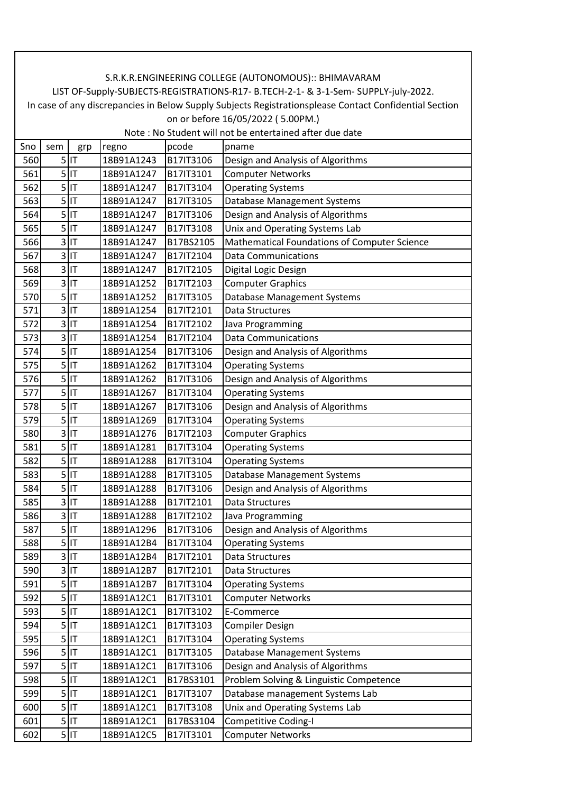| Sno | sem            | grp     | regno      | pcode     | pname                                        |
|-----|----------------|---------|------------|-----------|----------------------------------------------|
| 560 | 5              | IT      | 18B91A1243 | B17IT3106 | Design and Analysis of Algorithms            |
| 561 |                | $5$  IT | 18B91A1247 | B17IT3101 | <b>Computer Networks</b>                     |
| 562 |                | $5$ IT  | 18B91A1247 | B17IT3104 | <b>Operating Systems</b>                     |
| 563 |                | $5$ IT  | 18B91A1247 | B17IT3105 | Database Management Systems                  |
| 564 |                | $5$ IT  | 18B91A1247 | B17IT3106 | Design and Analysis of Algorithms            |
| 565 | 5              | IT      | 18B91A1247 | B17IT3108 | Unix and Operating Systems Lab               |
| 566 |                | $3$ IT  | 18B91A1247 | B17BS2105 | Mathematical Foundations of Computer Science |
| 567 |                | $3$ IT  | 18B91A1247 | B17IT2104 | <b>Data Communications</b>                   |
| 568 |                | $3$ IT  | 18B91A1247 | B17IT2105 | Digital Logic Design                         |
| 569 |                | $3$ IT  | 18B91A1252 | B17IT2103 | <b>Computer Graphics</b>                     |
| 570 |                | $5$ IT  | 18B91A1252 | B17IT3105 | Database Management Systems                  |
| 571 |                | $3$ IT  | 18B91A1254 | B17IT2101 | Data Structures                              |
| 572 |                | $3$ IT  | 18B91A1254 | B17IT2102 | Java Programming                             |
| 573 | 3              | IT      | 18B91A1254 | B17IT2104 | <b>Data Communications</b>                   |
| 574 |                | $5$ IT  | 18B91A1254 | B17IT3106 | Design and Analysis of Algorithms            |
| 575 |                | $5$ IT  | 18B91A1262 | B17IT3104 | <b>Operating Systems</b>                     |
| 576 |                | $5$ IT  | 18B91A1262 | B17IT3106 | Design and Analysis of Algorithms            |
| 577 | 5 <sup>1</sup> | İІТ     | 18B91A1267 | B17IT3104 | <b>Operating Systems</b>                     |
| 578 |                | $5$ IT  | 18B91A1267 | B17IT3106 | Design and Analysis of Algorithms            |
| 579 | 5              | IT      | 18B91A1269 | B17IT3104 | <b>Operating Systems</b>                     |
| 580 |                | $3$ IT  | 18B91A1276 | B17IT2103 | <b>Computer Graphics</b>                     |
| 581 |                | $5$ IT  | 18B91A1281 | B17IT3104 | <b>Operating Systems</b>                     |
| 582 |                | $5$  IT | 18B91A1288 | B17IT3104 | <b>Operating Systems</b>                     |
| 583 |                | $5$  IT | 18B91A1288 | B17IT3105 | Database Management Systems                  |
| 584 | 5              | IT      | 18B91A1288 | B17IT3106 | Design and Analysis of Algorithms            |
| 585 |                | $3$ IT  | 18B91A1288 | B17IT2101 | Data Structures                              |
| 586 |                | $3$ IT  | 18B91A1288 | B17IT2102 | Java Programming                             |
| 587 |                | $5$  IT | 18B91A1296 | B17IT3106 | Design and Analysis of Algorithms            |
| 588 |                | $5$ IT  | 18B91A12B4 | B17IT3104 | <b>Operating Systems</b>                     |
| 589 | 31             | IT      | 18B91A12B4 | B17IT2101 | Data Structures                              |
| 590 |                | $3$ IT  | 18B91A12B7 | B17IT2101 | Data Structures                              |
| 591 |                | $5$ IT  | 18B91A12B7 | B17IT3104 | <b>Operating Systems</b>                     |
| 592 |                | $5$ IT  | 18B91A12C1 | B17IT3101 | <b>Computer Networks</b>                     |
| 593 |                | $5$ IT  | 18B91A12C1 | B17IT3102 | E-Commerce                                   |
| 594 |                | $5$ IT  | 18B91A12C1 | B17IT3103 | <b>Compiler Design</b>                       |
| 595 |                | $5$ IT  | 18B91A12C1 | B17IT3104 | <b>Operating Systems</b>                     |
| 596 |                | $5$ IT  | 18B91A12C1 | B17IT3105 | Database Management Systems                  |
| 597 |                | $5$ IT  | 18B91A12C1 | B17IT3106 | Design and Analysis of Algorithms            |
| 598 |                | $5$ IT  | 18B91A12C1 | B17BS3101 | Problem Solving & Linguistic Competence      |
| 599 |                | $5$ IT  | 18B91A12C1 | B17IT3107 | Database management Systems Lab              |
| 600 |                | $5$ IT  | 18B91A12C1 | B17IT3108 | Unix and Operating Systems Lab               |
| 601 |                | $5$ IT  | 18B91A12C1 | B17BS3104 | <b>Competitive Coding-I</b>                  |
| 602 |                | $5$ IT  | 18B91A12C5 | B17IT3101 | <b>Computer Networks</b>                     |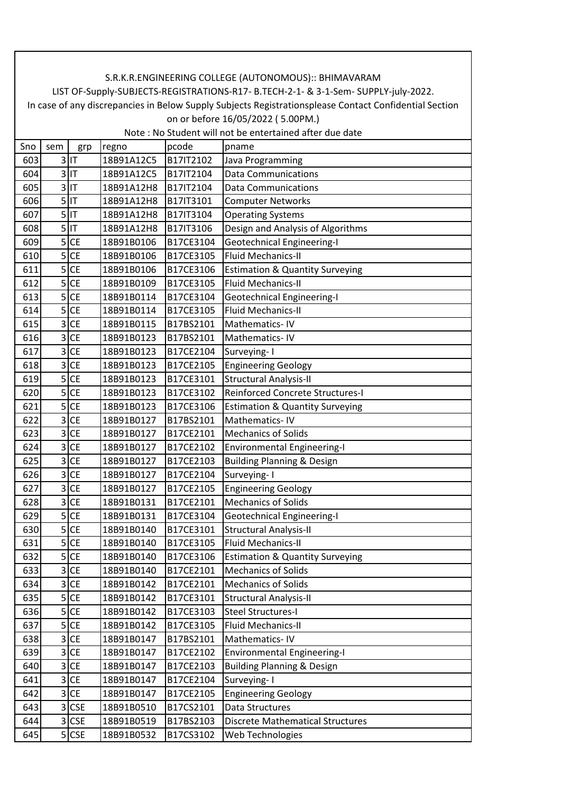| Sno | sem                     | grp        | regno      | pcode     | pname                                      |
|-----|-------------------------|------------|------------|-----------|--------------------------------------------|
| 603 |                         | $3$ IT     | 18B91A12C5 | B17IT2102 | Java Programming                           |
| 604 | 3                       | IT         | 18B91A12C5 | B17IT2104 | <b>Data Communications</b>                 |
| 605 |                         | $3$ IT     | 18B91A12H8 | B17IT2104 | <b>Data Communications</b>                 |
| 606 | 5                       | IT         | 18B91A12H8 | B17IT3101 | <b>Computer Networks</b>                   |
| 607 |                         | $5$ IT     | 18B91A12H8 | B17IT3104 | <b>Operating Systems</b>                   |
| 608 |                         | $5$ IT     | 18B91A12H8 | B17IT3106 | Design and Analysis of Algorithms          |
| 609 | 5                       | <b>CE</b>  | 18B91B0106 | B17CE3104 | <b>Geotechnical Engineering-I</b>          |
| 610 | 5 <sup>1</sup>          | <b>CE</b>  | 18B91B0106 | B17CE3105 | <b>Fluid Mechanics-II</b>                  |
| 611 | 5                       | <b>CE</b>  | 18B91B0106 | B17CE3106 | <b>Estimation &amp; Quantity Surveying</b> |
| 612 | 5                       | <b>CE</b>  | 18B91B0109 | B17CE3105 | <b>Fluid Mechanics-II</b>                  |
| 613 | 5                       | <b>CE</b>  | 18B91B0114 | B17CE3104 | <b>Geotechnical Engineering-I</b>          |
| 614 | 5                       | <b>CE</b>  | 18B91B0114 | B17CE3105 | <b>Fluid Mechanics-II</b>                  |
| 615 | 3                       | <b>CE</b>  | 18B91B0115 | B17BS2101 | Mathematics-IV                             |
| 616 | 3                       | <b>CE</b>  | 18B91B0123 | B17BS2101 | Mathematics-IV                             |
| 617 | 3                       | <b>CE</b>  | 18B91B0123 | B17CE2104 | Surveying-I                                |
| 618 | 3                       | <b>CE</b>  | 18B91B0123 | B17CE2105 | <b>Engineering Geology</b>                 |
| 619 | 5                       | <b>CE</b>  | 18B91B0123 | B17CE3101 | <b>Structural Analysis-II</b>              |
| 620 | 5                       | <b>CE</b>  | 18B91B0123 | B17CE3102 | <b>Reinforced Concrete Structures-I</b>    |
| 621 | 5                       | <b>CE</b>  | 18B91B0123 | B17CE3106 | <b>Estimation &amp; Quantity Surveying</b> |
| 622 | $\overline{\mathbf{3}}$ | <b>CE</b>  | 18B91B0127 | B17BS2101 | Mathematics-IV                             |
| 623 | 3                       | <b>CE</b>  | 18B91B0127 | B17CE2101 | <b>Mechanics of Solids</b>                 |
| 624 | 3                       | <b>CE</b>  | 18B91B0127 | B17CE2102 | <b>Environmental Engineering-I</b>         |
| 625 | 3                       | <b>CE</b>  | 18B91B0127 | B17CE2103 | <b>Building Planning &amp; Design</b>      |
| 626 | 3                       | <b>CE</b>  | 18B91B0127 | B17CE2104 | Surveying-1                                |
| 627 | 3                       | <b>CE</b>  | 18B91B0127 | B17CE2105 | <b>Engineering Geology</b>                 |
| 628 | 3                       | <b>CE</b>  | 18B91B0131 | B17CE2101 | <b>Mechanics of Solids</b>                 |
| 629 | 5 <sup>1</sup>          | <b>CE</b>  | 18B91B0131 | B17CE3104 | <b>Geotechnical Engineering-I</b>          |
| 630 | 5                       | <b>CE</b>  | 18B91B0140 | B17CE3101 | <b>Structural Analysis-II</b>              |
| 631 | 5                       | <b>CE</b>  | 18B91B0140 | B17CE3105 | <b>Fluid Mechanics-II</b>                  |
| 632 | 5                       | <b>CE</b>  | 18B91B0140 | B17CE3106 | <b>Estimation &amp; Quantity Surveying</b> |
| 633 | 3                       | <b>CE</b>  | 18B91B0140 | B17CE2101 | <b>Mechanics of Solids</b>                 |
| 634 | 3                       | <b>CE</b>  | 18B91B0142 | B17CE2101 | <b>Mechanics of Solids</b>                 |
| 635 | 5                       | <b>CE</b>  | 18B91B0142 | B17CE3101 | <b>Structural Analysis-II</b>              |
| 636 | 5                       | <b>CE</b>  | 18B91B0142 | B17CE3103 | <b>Steel Structures-I</b>                  |
| 637 | 5                       | <b>CE</b>  | 18B91B0142 | B17CE3105 | Fluid Mechanics-II                         |
| 638 | 3                       | <b>CE</b>  | 18B91B0147 | B17BS2101 | Mathematics-IV                             |
| 639 | $\overline{3}$          | <b>CE</b>  | 18B91B0147 | B17CE2102 | <b>Environmental Engineering-I</b>         |
| 640 | 3                       | <b>CE</b>  | 18B91B0147 | B17CE2103 | <b>Building Planning &amp; Design</b>      |
| 641 |                         | $3$ CE     | 18B91B0147 | B17CE2104 | Surveying-1                                |
| 642 | 3                       | <b>CE</b>  | 18B91B0147 | B17CE2105 | <b>Engineering Geology</b>                 |
| 643 |                         | 3 CSE      | 18B91B0510 | B17CS2101 | Data Structures                            |
| 644 | 3                       | <b>CSE</b> | 18B91B0519 | B17BS2103 | <b>Discrete Mathematical Structures</b>    |
| 645 |                         | $5$ CSE    | 18B91B0532 | B17CS3102 | Web Technologies                           |
|     |                         |            |            |           |                                            |